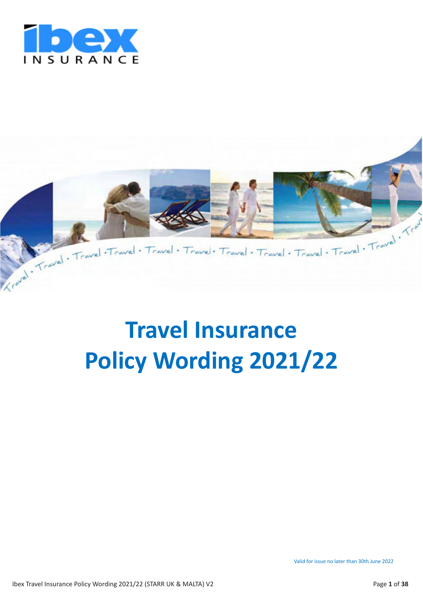



# **Travel Insurance Policy Wording 2021/22**

Valid for issue no later than 30th June 2022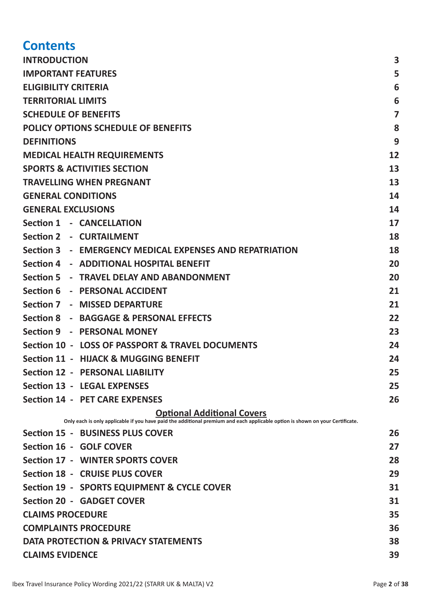## **Contents**

| <b>INTRODUCTION</b>                                                                                                                                                | 3              |  |  |  |
|--------------------------------------------------------------------------------------------------------------------------------------------------------------------|----------------|--|--|--|
| <b>IMPORTANT FEATURES</b>                                                                                                                                          |                |  |  |  |
| <b>ELIGIBILITY CRITERIA</b>                                                                                                                                        |                |  |  |  |
| <b>TERRITORIAL LIMITS</b>                                                                                                                                          |                |  |  |  |
| <b>SCHEDULE OF BENEFITS</b>                                                                                                                                        | $\overline{7}$ |  |  |  |
| <b>POLICY OPTIONS SCHEDULE OF BENEFITS</b>                                                                                                                         | 8              |  |  |  |
| <b>DEFINITIONS</b>                                                                                                                                                 | 9              |  |  |  |
| <b>MEDICAL HEALTH REQUIREMENTS</b>                                                                                                                                 | 12             |  |  |  |
| <b>SPORTS &amp; ACTIVITIES SECTION</b>                                                                                                                             | 13             |  |  |  |
| <b>TRAVELLING WHEN PREGNANT</b>                                                                                                                                    | 13             |  |  |  |
| <b>GENERAL CONDITIONS</b>                                                                                                                                          | 14             |  |  |  |
| <b>GENERAL EXCLUSIONS</b>                                                                                                                                          | 14             |  |  |  |
| Section 1 - CANCELLATION                                                                                                                                           | 17             |  |  |  |
| Section 2 - CURTAILMENT                                                                                                                                            | 18             |  |  |  |
| Section 3 - EMERGENCY MEDICAL EXPENSES AND REPATRIATION                                                                                                            | 18             |  |  |  |
| Section 4 - ADDITIONAL HOSPITAL BENEFIT                                                                                                                            | 20             |  |  |  |
| Section 5 - TRAVEL DELAY AND ABANDONMENT                                                                                                                           | 20             |  |  |  |
| Section 6 - PERSONAL ACCIDENT                                                                                                                                      | 21             |  |  |  |
| Section 7 - MISSED DEPARTURE                                                                                                                                       | 21             |  |  |  |
| Section 8 - BAGGAGE & PERSONAL EFFECTS                                                                                                                             | 22             |  |  |  |
| Section 9 - PERSONAL MONEY                                                                                                                                         | 23             |  |  |  |
| Section 10 - LOSS OF PASSPORT & TRAVEL DOCUMENTS                                                                                                                   | 24             |  |  |  |
| <b>Section 11 - HIJACK &amp; MUGGING BENEFIT</b>                                                                                                                   | 24             |  |  |  |
| <b>Section 12 - PERSONAL LIABILITY</b>                                                                                                                             | 25             |  |  |  |
| <b>Section 13 - LEGAL EXPENSES</b>                                                                                                                                 | 25             |  |  |  |
| <b>Section 14 - PET CARE EXPENSES</b>                                                                                                                              | 26             |  |  |  |
| <b>Optional Additional Covers</b><br>Only each is only applicable if you have paid the additional premium and each applicable option is shown on your Certificate. |                |  |  |  |
| Section 15 - BUSINESS PLUS COVER                                                                                                                                   | 26             |  |  |  |
| Section 16 - GOLF COVER                                                                                                                                            | 27             |  |  |  |
| Section 17 - WINTER SPORTS COVER                                                                                                                                   | 28             |  |  |  |
| Section 18 - CRUISE PLUS COVER                                                                                                                                     | 29             |  |  |  |
| Section 19 - SPORTS EQUIPMENT & CYCLE COVER                                                                                                                        | 31             |  |  |  |
| <b>Section 20 - GADGET COVER</b>                                                                                                                                   | 31             |  |  |  |
| <b>CLAIMS PROCEDURE</b>                                                                                                                                            | 35             |  |  |  |
| <b>COMPLAINTS PROCEDURE</b><br>36                                                                                                                                  |                |  |  |  |
| DATA PROTECTION & PRIVACY STATEMENTS<br>38                                                                                                                         |                |  |  |  |
| <b>CLAIMS EVIDENCE</b><br>39                                                                                                                                       |                |  |  |  |
|                                                                                                                                                                    |                |  |  |  |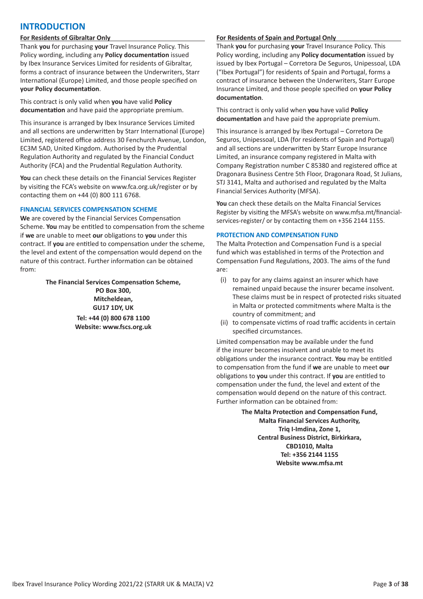### **INTRODUCTION**

#### **For Residents of Gibraltar Only**

Thank **you** for purchasing **your** Travel Insurance Policy. This Policy wording, including any **Policy documentation** issued by Ibex Insurance Services Limited for residents of Gibraltar, forms a contract of insurance between the Underwriters, Starr International (Europe) Limited, and those people specified on **your Policy documentation**.

This contract is only valid when **you** have valid **Policy documentation** and have paid the appropriate premium.

This insurance is arranged by Ibex Insurance Services Limited and all sections are underwritten by Starr International (Europe) Limited, registered office address 30 Fenchurch Avenue, London, EC3M 5AD, United Kingdom. Authorised by the Prudential Regulation Authority and regulated by the Financial Conduct Authority (FCA) and the Prudential Regulation Authority.

**You** can check these details on the Financial Services Register by visiting the FCA's website on www.fca.org.uk/register or by contacting them on +44 (0) 800 111 6768.

#### **FINANCIAL SERVICES COMPENSATION SCHEME**

**We** are covered by the Financial Services Compensation Scheme. **You** may be entitled to compensation from the scheme if **we** are unable to meet **our** obligations to **you** under this contract. If **you** are entitled to compensation under the scheme, the level and extent of the compensation would depend on the nature of this contract. Further information can be obtained from:

> **The Financial Services Compensation Scheme, PO Box 300, Mitcheldean, GU17 1DY, UK**

**Tel: +44 (0) 800 678 1100 Website: www.fscs.org.uk**

#### **For Residents of Spain and Portugal Only**

Thank **you** for purchasing **your** Travel Insurance Policy. This Policy wording, including any **Policy documentation** issued by issued by Ibex Portugal – Corretora De Seguros, Unipessoal, LDA ("Ibex Portugal") for residents of Spain and Portugal, forms a contract of insurance between the Underwriters, Starr Europe Insurance Limited, and those people specified on **your Policy documentation**.

This contract is only valid when **you** have valid **Policy documentation** and have paid the appropriate premium.

This insurance is arranged by Ibex Portugal – Corretora De Seguros, Unipessoal, LDA (for residents of Spain and Portugal) and all sections are underwritten by Starr Europe Insurance Limited, an insurance company registered in Malta with Company Registration number C 85380 and registered office at Dragonara Business Centre 5th Floor, Dragonara Road, St Julians, STJ 3141, Malta and authorised and regulated by the Malta Financial Services Authority (MFSA).

**You** can check these details on the Malta Financial Services Register by visiting the MFSA's website on www.mfsa.mt/financialservices-register/ or by contacting them on +356 2144 1155.

#### **PROTECTION AND COMPENSATION FUND**

The Malta Protection and Compensation Fund is a special fund which was established in terms of the Protection and Compensation Fund Regulations, 2003. The aims of the fund are:

- (i) to pay for any claims against an insurer which have remained unpaid because the insurer became insolvent. These claims must be in respect of protected risks situated in Malta or protected commitments where Malta is the country of commitment; and
- (ii) to compensate victims of road traffic accidents in certain specified circumstances.

Limited compensation may be available under the fund if the insurer becomes insolvent and unable to meet its obligations under the insurance contract. **You** may be entitled to compensation from the fund if **we** are unable to meet **our** obligations to **you** under this contract. If **you** are entitled to compensation under the fund, the level and extent of the compensation would depend on the nature of this contract. Further information can be obtained from:

> **The Malta Protection and Compensation Fund, Malta Financial Services Authority, Triq I-Imdina, Zone 1, Central Business District, Birkirkara, CBD1010, Malta Tel: +356 2144 1155 Website www.mfsa.mt**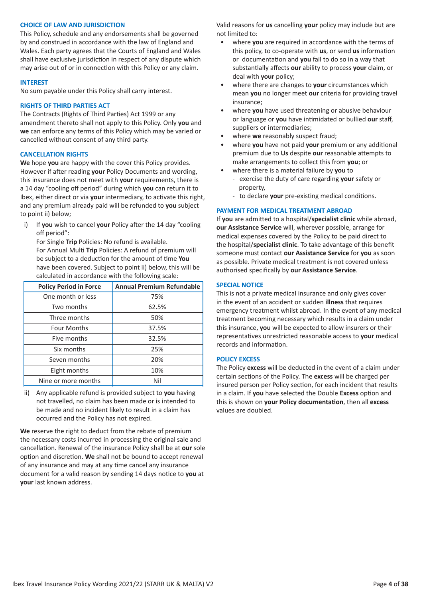#### **CHOICE OF LAW AND JURISDICTION**

This Policy, schedule and any endorsements shall be governed by and construed in accordance with the law of England and Wales. Each party agrees that the Courts of England and Wales shall have exclusive jurisdiction in respect of any dispute which may arise out of or in connection with this Policy or any claim.

#### **INTEREST**

No sum payable under this Policy shall carry interest.

#### **RIGHTS OF THIRD PARTIES ACT**

The Contracts (Rights of Third Parties) Act 1999 or any amendment thereto shall not apply to this Policy. Only **you** and **we** can enforce any terms of this Policy which may be varied or cancelled without consent of any third party.

#### **CANCELLATION RIGHTS**

**We** hope **you** are happy with the cover this Policy provides. However if after reading **your** Policy Documents and wording, this insurance does not meet with **your** requirements, there is a 14 day "cooling off period" during which **you** can return it to Ibex, either direct or via **your** intermediary, to activate this right, and any premium already paid will be refunded to **you** subject to point ii) below;

i) If **you** wish to cancel **your** Policy after the 14 day "cooling off period":

For Single **Trip** Policies: No refund is available. For Annual Multi **Trip** Policies: A refund of premium will be subject to a deduction for the amount of time **You** have been covered. Subject to point ii) below, this will be calculated in accordance with the following scale:

| <b>Policy Period in Force</b> | <b>Annual Premium Refundable</b> |
|-------------------------------|----------------------------------|
| One month or less             | 75%                              |
| Two months                    | 62.5%                            |
| Three months                  | 50%                              |
| <b>Four Months</b>            | 37.5%                            |
| Five months                   | 32.5%                            |
| Six months                    | 25%                              |
| Seven months                  | 20%                              |
| Eight months                  | 10%                              |
| Nine or more months           | Nil                              |

ii) Any applicable refund is provided subject to **you** having not travelled, no claim has been made or is intended to be made and no incident likely to result in a claim has occurred and the Policy has not expired.

**We** reserve the right to deduct from the rebate of premium the necessary costs incurred in processing the original sale and cancellation. Renewal of the insurance Policy shall be at **our** sole option and discretion. **We** shall not be bound to accept renewal of any insurance and may at any time cancel any insurance document for a valid reason by sending 14 days notice to **you** at **your** last known address.

Valid reasons for **us** cancelling **your** policy may include but are not limited to:

- where **you** are required in accordance with the terms of this policy, to co-operate with **us**, or send **us** information or documentation and **you** fail to do so in a way that substantially affects **our** ability to process **your** claim, or deal with **your** policy;
- where there are changes to **your** circumstances which mean **you** no longer meet **our** criteria for providing travel insurance;
- where **you** have used threatening or abusive behaviour or language or **you** have intimidated or bullied **our** staff, suppliers or intermediaries;
- where **we** reasonably suspect fraud;
- where **you** have not paid **your** premium or any additional premium due to **Us** despite **our** reasonable attempts to make arrangements to collect this from **you**; or
- where there is a material failure by **you** to
	- exercise the duty of care regarding **your** safety or property,
	- to declare **your** pre-existing medical conditions.

#### **PAYMENT FOR MEDICAL TREATMENT ABROAD**

If **you** are admitted to a hospital/**specialist clinic** while abroad, **our Assistance Service** will, wherever possible, arrange for medical expenses covered by the Policy to be paid direct to the hospital/**specialist clinic**. To take advantage of this benefit someone must contact **our Assistance Service** for **you** as soon as possible. Private medical treatment is not covered unless authorised specifically by **our Assistance Service**.

#### **SPECIAL NOTICE**

This is not a private medical insurance and only gives cover in the event of an accident or sudden **illness** that requires emergency treatment whilst abroad. In the event of any medical treatment becoming necessary which results in a claim under this insurance, **you** will be expected to allow insurers or their representatives unrestricted reasonable access to **your** medical records and information.

#### **POLICY EXCESS**

The Policy **excess** will be deducted in the event of a claim under certain sections of the Policy. The **excess** will be charged per insured person per Policy section, for each incident that results in a claim. If **you** have selected the Double **Excess** option and this is shown on **your Policy documentation**, then all **excess** values are doubled.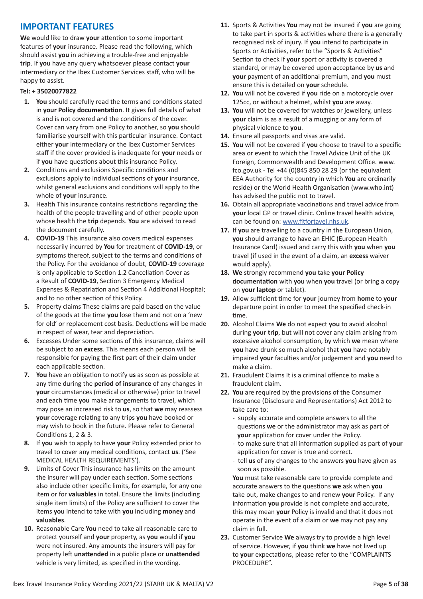### **IMPORTANT FEATURES**

**We** would like to draw **your** attention to some important features of **your** insurance. Please read the following, which should assist **you** in achieving a trouble-free and enjoyable **trip**. If **you** have any query whatsoever please contact **your** intermediary or the Ibex Customer Services staff, who will be happy to assist.

#### **Tel: + 35020077822**

- **1. You** should carefully read the terms and conditions stated in **your Policy documentation**. It gives full details of what is and is not covered and the conditions of the cover. Cover can vary from one Policy to another, so **you** should familiarise yourself with this particular insurance. Contact either **your** intermediary or the Ibex Customer Services staff if the cover provided is inadequate for **your** needs or if **you** have questions about this insurance Policy.
- **2.** Conditions and exclusions Specific conditions and exclusions apply to individual sections of **your** insurance, whilst general exclusions and conditions will apply to the whole of **your** insurance.
- **3.** Health This insurance contains restrictions regarding the health of the people travelling and of other people upon whose health the **trip** depends. **You** are advised to read the document carefully.
- **4. COVID-19** This insurance also covers medical expenses necessarily incurred by **You** for treatment of **COVID-19**, or symptoms thereof, subject to the terms and conditions of the Policy. For the avoidance of doubt, **COVID-19** coverage is only applicable to Section 1.2 Cancellation Cover as a Result of **COVID-19**, Section 3 Emergency Medical Expenses & Repatriation and Section 4 Additional Hospital; and to no other section of this Policy.
- **5.** Property claims These claims are paid based on the value of the goods at the time **you** lose them and not on a 'new for old' or replacement cost basis. Deductions will be made in respect of wear, tear and depreciation.
- **6.** Excesses Under some sections of this insurance, claims will be subject to an **excess**. This means each person will be responsible for paying the first part of their claim under each applicable section.
- **7. You** have an obligation to notify **us** as soon as possible at any time during the **period of insurance** of any changes in **your** circumstances (medical or otherwise) prior to travel and each time **you** make arrangements to travel, which may pose an increased risk to **us**, so that **we** may reassess **your** coverage relating to any trips **you** have booked or may wish to book in the future. Please refer to General Conditions 1, 2 & 3.
- **8.** If **you** wish to apply to have **your** Policy extended prior to travel to cover any medical conditions, contact **us**. ('See MEDICAL HEALTH REQUIREMENTS').
- **9.** Limits of Cover This insurance has limits on the amount the insurer will pay under each section. Some sections also include other specific limits, for example, for any one item or for **valuables** in total. Ensure the limits (including single item limits) of the Policy are sufficient to cover the items **you** intend to take with **you** including **money** and **valuables**.
- **10.** Reasonable Care **You** need to take all reasonable care to protect yourself and **your** property, as **you** would if **you** were not insured. Any amounts the insurers will pay for property left **unattended** in a public place or **unattended** vehicle is very limited, as specified in the wording.
- **11.** Sports & Activities **You** may not be insured if **you** are going to take part in sports & activities where there is a generally recognised risk of injury. If **you** intend to participate in Sports or Activities, refer to the "Sports & Activities" Section to check if **your** sport or activity is covered a standard, or may be covered upon acceptance by **us** and **your** payment of an additional premium, and **you** must ensure this is detailed on **your** schedule.
- **12. You** will not be covered if **you** ride on a motorcycle over 125cc, or without a helmet, whilst **you** are away.
- **13. You** will not be covered for watches or jewellery, unless **your** claim is as a result of a mugging or any form of physical violence to **you**.
- **14.** Ensure all passports and visas are valid.
- **15. You** will not be covered if **you** choose to travel to a specific area or event to which the Travel Advice Unit of the UK Foreign, Commonwealth and Development Office. www. fco.gov.uk - Tel +44 (0)845 850 28 29 (or the equivalent EEA Authority for the country in which **You** are ordinarily reside) or the World Health Organisation (www.who.int) has advised the public not to travel.
- **16.** Obtain all appropriate vaccinations and travel advice from **your** local GP or travel clinic. Online travel health advice, can be found on: www.fitfortavel.nhs.uk.
- **17.** If **you** are travelling to a country in the European Union, **you** should arrange to have an EHIC (European Health Insurance Card) issued and carry this with **you** when **you** travel (if used in the event of a claim, an **excess** waiver would apply).
- **18. We** strongly recommend **you** take **your Policy documentation** with **you** when **you** travel (or bring a copy on **your laptop** or tablet).
- **19.** Allow sufficient time for **your** journey from **home** to **your** departure point in order to meet the specified check-in time.
- **20.** Alcohol Claims **We** do not expect **you** to avoid alcohol during **your trip**, but will not cover any claim arising from excessive alcohol consumption, by which **we** mean where **you** have drunk so much alcohol that **you** have notably impaired **your** faculties and/or judgement and **you** need to make a claim.
- **21.** Fraudulent Claims It is a criminal offence to make a fraudulent claim.
- **22. You** are required by the provisions of the Consumer Insurance (Disclosure and Representations) Act 2012 to take care to:
	- supply accurate and complete answers to all the questions **we** or the administrator may ask as part of **your** application for cover under the Policy.
	- to make sure that all information supplied as part of **your** application for cover is true and correct.
	- tell **us** of any changes to the answers **you** have given as soon as possible.

**You** must take reasonable care to provide complete and accurate answers to the questions **we** ask when **you** take out, make changes to and renew **your** Policy. If any information **you** provide is not complete and accurate, this may mean **your** Policy is invalid and that it does not operate in the event of a claim or **we** may not pay any claim in full.

**23.** Customer Service **We** always try to provide a high level of service. However, if **you** think **we** have not lived up to **your** expectations, please refer to the "COMPLAINTS PROCEDURE".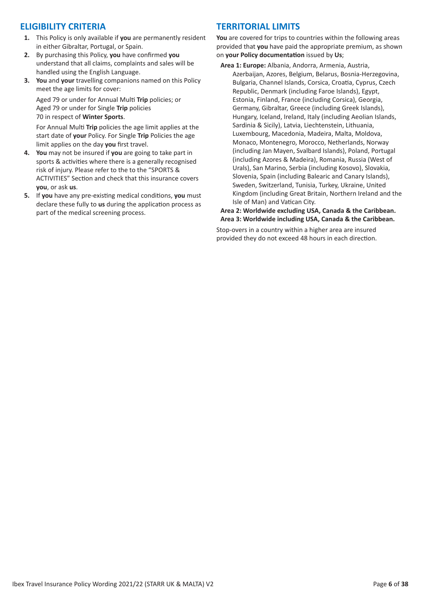### **ELIGIBILITY CRITERIA**

- **1.** This Policy is only available if **you** are permanently resident in either Gibraltar, Portugal, or Spain.
- **2.** By purchasing this Policy, **you** have confirmed **you** understand that all claims, complaints and sales will be handled using the English Language.
- **3. You** and **your** travelling companions named on this Policy meet the age limits for cover:

Aged 79 or under for Annual Multi **Trip** policies; or Aged 79 or under for Single **Trip** policies 70 in respect of **Winter Sports**.

For Annual Multi **Trip** policies the age limit applies at the start date of **your** Policy. For Single **Trip** Policies the age limit applies on the day **you** first travel.

- **4. You** may not be insured if **you** are going to take part in sports & activities where there is a generally recognised risk of injury. Please refer to the to the "SPORTS & ACTIVITIES" Section and check that this insurance covers **you**, or ask **us**.
- **5.** If **you** have any pre-existing medical conditions, **you** must declare these fully to **us** during the application process as part of the medical screening process.

### **TERRITORIAL LIMITS**

**You** are covered for trips to countries within the following areas provided that **you** have paid the appropriate premium, as shown on **your Policy documentation** issued by **Us**;

**Area 1: Europe:** Albania, Andorra, Armenia, Austria, Azerbaijan, Azores, Belgium, Belarus, Bosnia-Herzegovina, Bulgaria, Channel Islands, Corsica, Croatia, Cyprus, Czech Republic, Denmark (including Faroe Islands), Egypt, Estonia, Finland, France (including Corsica), Georgia, Germany, Gibraltar, Greece (including Greek Islands), Hungary, Iceland, Ireland, Italy (including Aeolian Islands, Sardinia & Sicily), Latvia, Liechtenstein, Lithuania, Luxembourg, Macedonia, Madeira, Malta, Moldova, Monaco, Montenegro, Morocco, Netherlands, Norway (including Jan Mayen, Svalbard Islands), Poland, Portugal (including Azores & Madeira), Romania, Russia (West of Urals), San Marino, Serbia (including Kosovo), Slovakia, Slovenia, Spain (including Balearic and Canary Islands), Sweden, Switzerland, Tunisia, Turkey, Ukraine, United Kingdom (including Great Britain, Northern Ireland and the Isle of Man) and Vatican City.

**Area 2: Worldwide excluding USA, Canada & the Caribbean. Area 3: Worldwide including USA, Canada & the Caribbean.**

Stop-overs in a country within a higher area are insured provided they do not exceed 48 hours in each direction.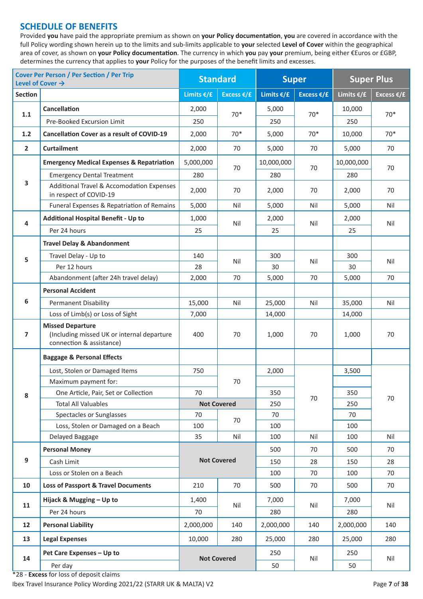### **SCHEDULE OF BENEFITS**

Provided **you** have paid the appropriate premium as shown on **your Policy documentation**, **you** are covered in accordance with the full Policy wording shown herein up to the limits and sub-limits applicable to **your** selected **Level of Cover** within the geographical area of cover, as shown on **your Policy documentation**. The currency in which **you** pay **your** premium, being either €Euros or £GBP, determines the currency that applies to **your** Policy for the purposes of the benefit limits and excesses.

|                | <b>Cover Per Person / Per Section / Per Trip</b><br>Level of Cover $\rightarrow$                  |                         | <b>Standard</b>    | <b>Super</b>  |                      | <b>Super Plus</b>    |                      |  |
|----------------|---------------------------------------------------------------------------------------------------|-------------------------|--------------------|---------------|----------------------|----------------------|----------------------|--|
| <b>Section</b> |                                                                                                   | Limits $€/£$            | Excess $E/E$       | Limits $€/£$  | Excess $\epsilon$ /£ | Limits $\epsilon$ /£ | Excess $\epsilon$ /£ |  |
|                | <b>Cancellation</b>                                                                               | 2,000                   |                    | 5,000         |                      | 10,000               | $70*$                |  |
| 1.1            | Pre-Booked Excursion Limit                                                                        | 250                     | $70*$              | 250           | $70*$                | 250                  |                      |  |
| 1.2            | <b>Cancellation Cover as a result of COVID-19</b>                                                 | 2,000                   | $70*$              | 5,000         | $70*$                | 10,000               | $70*$                |  |
| $\overline{2}$ | <b>Curtailment</b>                                                                                | 2,000                   | 70                 | 5,000         | 70                   | 5,000                | 70                   |  |
|                | <b>Emergency Medical Expenses &amp; Repatriation</b>                                              | 5,000,000               |                    | 10,000,000    |                      | 10,000,000           |                      |  |
|                | <b>Emergency Dental Treatment</b>                                                                 | 280                     | 70                 | 280           | 70                   | 280                  | 70                   |  |
| 3              | Additional Travel & Accomodation Expenses<br>in respect of COVID-19                               | 2,000                   | 70                 | 2,000         | 70                   | 2,000                | 70                   |  |
|                | Funeral Expenses & Repatriation of Remains                                                        | 5,000                   | Nil                | 5,000         | Nil                  | 5,000                | Nil                  |  |
| 4              | <b>Additional Hospital Benefit - Up to</b>                                                        | 1,000                   | Nil                | 2,000         | Nil                  | 2,000                |                      |  |
|                | Per 24 hours                                                                                      | 25                      |                    | 25            |                      | 25                   | Nil                  |  |
|                | <b>Travel Delay &amp; Abandonment</b>                                                             |                         |                    |               |                      |                      |                      |  |
| 5              | Travel Delay - Up to                                                                              | 140                     |                    | 300           |                      | 300                  | Nil                  |  |
|                | Per 12 hours                                                                                      | 28                      | Nil                | 30            | Nil                  | 30                   |                      |  |
|                | Abandonment (after 24h travel delay)                                                              | 2,000                   | 70                 | 5,000         | 70                   | 5,000                | 70                   |  |
|                | <b>Personal Accident</b>                                                                          |                         |                    |               |                      |                      |                      |  |
| 6              | <b>Permanent Disability</b>                                                                       | 15,000                  | Nil                | 25,000<br>Nil |                      | 35,000               | Nil                  |  |
|                | Loss of Limb(s) or Loss of Sight                                                                  | 7,000                   |                    | 14,000        |                      | 14,000               |                      |  |
| $\overline{7}$ | <b>Missed Departure</b><br>(Including missed UK or internal departure<br>connection & assistance) | 400                     | 70                 | 1,000         | 70                   | 1,000                | 70                   |  |
|                | <b>Baggage &amp; Personal Effects</b>                                                             |                         |                    |               |                      |                      |                      |  |
|                | Lost, Stolen or Damaged Items                                                                     | 750                     |                    | 2,000         | 3,500                |                      |                      |  |
|                | Maximum payment for:                                                                              |                         | 70                 |               |                      |                      | 70                   |  |
| 8              | One Article, Pair, Set or Collection                                                              | 70                      |                    | 350           | 70                   | 350                  |                      |  |
|                | <b>Total All Valuables</b>                                                                        |                         | <b>Not Covered</b> | 250           |                      | 250                  |                      |  |
|                | Spectacles or Sunglasses                                                                          | 70                      | 70                 | 70            |                      | 70                   |                      |  |
|                | Loss, Stolen or Damaged on a Beach                                                                | 100                     |                    | 100           |                      | 100                  |                      |  |
|                | Delayed Baggage                                                                                   | 35<br>Nil<br>Nil<br>100 |                    | 100           | Nil                  |                      |                      |  |
|                | <b>Personal Money</b>                                                                             |                         |                    | 500           | 70                   | 500                  | 70                   |  |
| 9              | Cash Limit                                                                                        |                         | <b>Not Covered</b> | 150           | 28                   | 150                  | 28                   |  |
|                | Loss or Stolen on a Beach                                                                         |                         |                    | 100           | 70                   | 100                  | 70                   |  |
| 10             | <b>Loss of Passport &amp; Travel Documents</b>                                                    | 210                     | 70                 | 500           | 70                   | 500                  | 70                   |  |
| 11             | Hijack & Mugging - Up to                                                                          | 1,400                   | Nil                | 7,000         | Nil                  | 7,000                | Nil                  |  |
|                | Per 24 hours                                                                                      | 70                      |                    | 280           |                      | 280                  |                      |  |
| 12             | 2,000,000<br><b>Personal Liability</b>                                                            |                         | 140                | 2,000,000     | 140                  | 2,000,000            | 140                  |  |
| 13             | <b>Legal Expenses</b>                                                                             | 10,000                  | 280                | 25,000        | 280                  | 25,000               | 280                  |  |
| 14             | Pet Care Expenses - Up to                                                                         |                         |                    | 250           | Nil                  | 250                  |                      |  |
|                | Per day                                                                                           | <b>Not Covered</b>      |                    | 50            |                      | 50                   | Nil                  |  |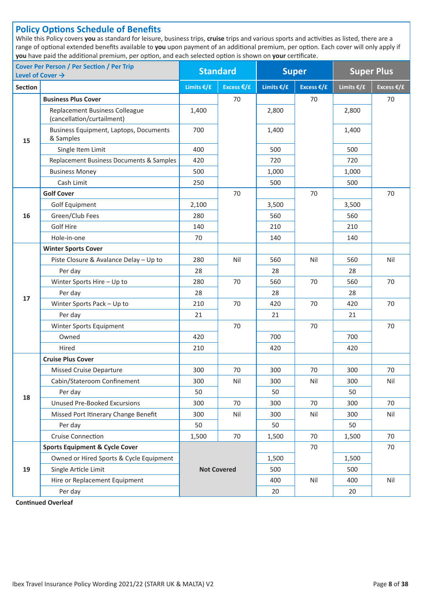### **Policy Options Schedule of Benefits**

While this Policy covers **you** as standard for leisure, business trips, **cruise** trips and various sports and activities as listed, there are a range of optional extended benefits available to **you** upon payment of an additional premium, per option. Each cover will only apply if **you** have paid the additional premium, per option, and each selected option is shown on **your** certificate.

| <b>Cover Per Person / Per Section / Per Trip</b><br>Level of Cover $\rightarrow$ |                                                              | <b>Standard</b>        |                    | <b>Super</b> |                      | <b>Super Plus</b> |                      |
|----------------------------------------------------------------------------------|--------------------------------------------------------------|------------------------|--------------------|--------------|----------------------|-------------------|----------------------|
| Section                                                                          |                                                              | Limits $€/£$           | Excess €/£         | Limits $€/£$ | Excess $\epsilon$ /£ | Limits €/£        | Excess $\epsilon$ /£ |
|                                                                                  | <b>Business Plus Cover</b>                                   |                        | 70                 |              | 70                   |                   | 70                   |
|                                                                                  | Replacement Business Colleague<br>(cancellation/curtailment) | 1,400                  |                    | 2,800        |                      | 2,800             |                      |
| 15                                                                               | Business Equipment, Laptops, Documents<br>& Samples          | 700                    |                    | 1,400        |                      | 1,400             |                      |
|                                                                                  | Single Item Limit                                            | 400                    |                    | 500          |                      | 500               |                      |
|                                                                                  | Replacement Business Documents & Samples                     | 420                    |                    | 720          |                      | 720               |                      |
|                                                                                  | <b>Business Money</b>                                        | 500                    |                    | 1,000        |                      | 1,000             |                      |
|                                                                                  | Cash Limit                                                   | 250                    |                    | 500          |                      | 500               |                      |
|                                                                                  | <b>Golf Cover</b>                                            |                        | 70                 |              | 70                   |                   | 70                   |
|                                                                                  | <b>Golf Equipment</b>                                        | 2,100                  |                    | 3,500        |                      | 3,500             |                      |
| 16                                                                               | Green/Club Fees                                              | 280                    |                    | 560          |                      | 560               |                      |
|                                                                                  | Golf Hire                                                    | 140                    |                    | 210          |                      | 210               |                      |
|                                                                                  | Hole-in-one                                                  | 70                     |                    | 140          |                      | 140               |                      |
|                                                                                  | <b>Winter Sports Cover</b>                                   |                        |                    |              |                      |                   |                      |
| 17                                                                               | Piste Closure & Avalance Delay - Up to                       | 280                    | Nil<br>560         |              | Nil                  | 560               | Nil                  |
|                                                                                  | Per day                                                      | 28                     |                    | 28           |                      | 28                |                      |
|                                                                                  | Winter Sports Hire - Up to                                   | 280                    | 70<br>560          |              | 70                   | 560               | 70                   |
|                                                                                  | Per day                                                      | 28<br>28               |                    | 28           |                      |                   |                      |
|                                                                                  | Winter Sports Pack - Up to                                   | 210                    | 70                 | 70<br>420    |                      | 420               | 70                   |
|                                                                                  | Per day                                                      | 21                     |                    | 21           |                      | 21                |                      |
|                                                                                  | Winter Sports Equipment                                      |                        | 70                 |              | 70                   |                   | 70                   |
|                                                                                  | Owned                                                        | 420                    |                    | 700          |                      | 700               |                      |
|                                                                                  | Hired                                                        | 210<br>420             |                    |              |                      | 420               |                      |
|                                                                                  | <b>Cruise Plus Cover</b>                                     |                        |                    |              |                      |                   |                      |
|                                                                                  | <b>Missed Cruise Departure</b>                               | 300<br>70<br>300<br>70 |                    |              | 300                  | 70                |                      |
|                                                                                  | Cabin/Stateroom Confinement                                  | 300                    | Nil                | 300          | Nil                  | 300               | Nil                  |
| 18                                                                               | Per day                                                      | 50                     |                    | 50           |                      | 50                |                      |
|                                                                                  | <b>Unused Pre-Booked Excursions</b>                          | 300                    | 70                 | 300          | 70                   | 300               | 70                   |
|                                                                                  | Missed Port Itinerary Change Benefit                         | 300                    | Nil                |              | Nil                  | 300               | Nil                  |
|                                                                                  | Per day                                                      | 50                     |                    | 50           |                      | 50                |                      |
|                                                                                  | Cruise Connection                                            | 1,500                  | 70                 | 1,500        | 70                   | 1,500             | 70                   |
|                                                                                  | <b>Sports Equipment &amp; Cycle Cover</b>                    |                        |                    |              | 70                   |                   | 70                   |
|                                                                                  | Owned or Hired Sports & Cycle Equipment                      |                        |                    | 1,500        |                      | 1,500             |                      |
| 19                                                                               | Single Article Limit                                         |                        | <b>Not Covered</b> | 500          |                      | 500               |                      |
|                                                                                  | Hire or Replacement Equipment                                |                        |                    | 400          | Nil                  | 400               | Nil                  |
|                                                                                  | Per day                                                      |                        |                    | 20           |                      | 20                |                      |

**Continued Overleaf**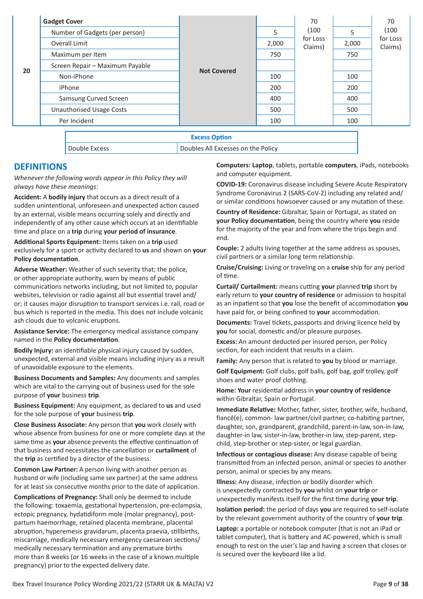|                                   | <b>Gadget Cover</b>             |                      |       | 70                  |       | 70                  |
|-----------------------------------|---------------------------------|----------------------|-------|---------------------|-------|---------------------|
|                                   | Number of Gadgets (per person)  |                      | 5     | (100)               | 5     | (100)               |
| Overall Limit<br>Maximum per Item |                                 |                      | 2,000 | for Loss<br>Claims) | 2,000 | for Loss<br>Claims) |
|                                   |                                 |                      | 750   |                     | 750   |                     |
| 20                                | Screen Repair - Maximum Payable | <b>Not Covered</b>   |       |                     |       |                     |
|                                   | Non-iPhone                      |                      | 100   |                     | 100   |                     |
|                                   | iPhone                          |                      | 200   |                     | 200   |                     |
|                                   | Samsung Curved Screen           |                      | 400   |                     | 400   |                     |
| <b>Unauthorised Usage Costs</b>   |                                 |                      | 500   |                     | 500   |                     |
|                                   | Per Incident                    |                      | 100   |                     | 100   |                     |
|                                   |                                 | <b>Excess Option</b> |       |                     |       |                     |

Double Excess Doubles All Excesses on the Policy

### **DEFINITIONS**

*Whenever the following words appear in this Policy they will always have these meanings:*

**Accident:** A **bodily injury** that occurs as a direct result of a sudden unintentional, unforeseen and unexpected action caused by an external, visible means occurring solely and directly and independently of any other cause which occurs at an identifiable time and place on a **trip** during **your period of insurance**.

**Additional Sports Equipment:** Items taken on a **trip** used exclusively for a sport or activity declared to **us** and shown on **your Policy documentation**.

**Adverse Weather:** Weather of such severity that; the police, or other appropriate authority, warn by means of public communications networks including, but not limited to, popular websites, television or radio against all but essential travel and/ or; it causes major disruption to transport services i.e. rail, road or bus which is reported in the media. This does not include volcanic ash clouds due to volcanic eruptions.

**Assistance Service:** The emergency medical assistance company named in the **Policy documentation**.

**Bodily Injury:** an identifiable physical injury caused by sudden, unexpected, external and visible means including injury as a result of unavoidable exposure to the elements.

**Business Documents and Samples:** Any documents and samples which are vital to the carrying out of business used for the sole purpose of **your** business **trip**.

**Business Equipment:** Any equipment, as declared to **us** and used for the sole purpose of **your** business **trip**.

**Close Business Associate:** Any person that **you** work closely with whose absence from business for one or more complete days at the same time as **your** absence prevents the effective continuation of that business and necessitates the cancellation or **curtailment** of the **trip** as certified by a director of the business.

**Common Law Partner:** A person living with another person as husband or wife (including same sex partner) at the same address for at least six consecutive months prior to the date of application.

**Complications of Pregnancy:** Shall only be deemed to include the following: toxaemia, gestational hypertension, pre-eclampsia, ectopic pregnancy, hydatidiform mole (molar pregnancy), postpartum haemorrhage, retained placenta membrane, placental abruption, hyperemesis gravidarum, placenta praevia, stillbirths, miscarriage, medically necessary emergency caesarean sections/ medically necessary termination and any premature births more than 8 weeks (or 16 weeks in the case of a known multiple pregnancy) prior to the expected delivery date.

**Computers: Laptop**, tablets, portable **computers**, iPads, notebooks and computer equipment.

**COVID-19:** Coronavirus disease including Severe Acute Respiratory Syndrome Coronavirus 2 (SARS-CoV-2) including any related and/ or similar conditions howsoever caused or any mutation of these.

**Country of Residence:** Gibraltar, Spain or Portugal, as stated on **your Policy documentation**, being the country where **you** reside for the majority of the year and from where the trips begin and end.

**Couple:** 2 adults living together at the same address as spouses, civil partners or a similar long term relationship.

**Cruise/Cruising:** Living or traveling on a **cruise** ship for any period of time.

**Curtail/ Curtailment:** means cutting **your** planned **trip** short by early return to **your country of residence** or admission to hospital as an inpatient so that **you** lose the benefit of accommodation **you** have paid for, or being confined to **your** accommodation.

**Documents:** Travel tickets, passports and driving licence held by **you** for social, domestic and/or pleasure purposes.

**Excess:** An amount deducted per insured person, per Policy section, for each incident that results in a claim.

**Family:** Any person that is related to **you** by blood or marriage.

**Golf Equipment:** Golf clubs, golf balls, golf bag, golf trolley, golf shoes and water proof clothing.

**Home: Your** residential address in **your country of residence** within Gibraltar, Spain or Portugal.

**Immediate Relative:** Mother, father, sister, brother, wife, husband, fiancé(e), common- law partner/civil partner, co-habiting partner, daughter, son, grandparent, grandchild, parent-in-law, son-in-law, daughter-in law, sister-in-law, brother-in law, step-parent, stepchild, step-brother or step-sister, or legal guardian.

**Infectious or contagious disease:** Any disease capable of being transmitted from an infected person, animal or species to another person, animal or species by any means.

**Illness:** Any disease, infection or bodily disorder which is unexpectedly contracted by **you** whilst on **your trip** or unexpectedly manifests itself for the first time during **your trip**.

**Isolation period:** the period of days **you** are required to self-isolate by the relevant government authority of the country of **your trip**.

**Laptop:** a portable or notebook computer (that is not an iPad or tablet computer), that is battery and AC-powered, which is small enough to rest on the user's lap and having a screen that closes or is secured over the keyboard like a lid.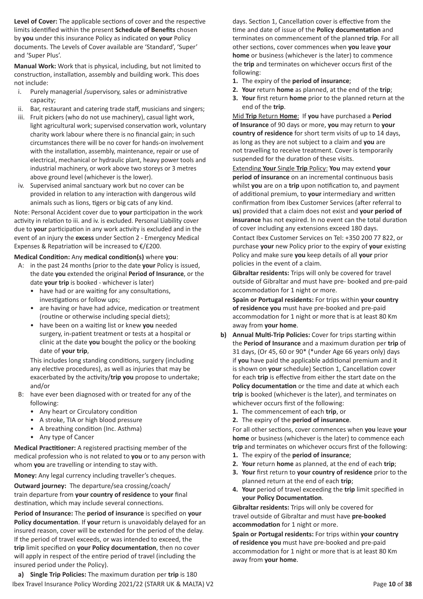**Level of Cover:** The applicable sections of cover and the respective limits identified within the present **Schedule of Benefits** chosen by **you** under this insurance Policy as indicated on **your** Policy documents. The Levels of Cover available are 'Standard', 'Super' and 'Super Plus'.

**Manual Work:** Work that is physical, including, but not limited to construction, installation, assembly and building work. This does not include:

- i. Purely managerial /supervisory, sales or administrative capacity;
- ii. Bar, restaurant and catering trade staff, musicians and singers;
- iii. Fruit pickers (who do not use machinery), casual light work, light agricultural work; supervised conservation work, voluntary charity work labour where there is no financial gain; in such circumstances there will be no cover for hands-on involvement with the installation, assembly, maintenance, repair or use of electrical, mechanical or hydraulic plant, heavy power tools and industrial machinery, or work above two storeys or 3 metres above ground level (whichever is the lower).
- iv. Supervised animal sanctuary work but no cover can be provided in relation to any interaction with dangerous wild animals such as lions, tigers or big cats of any kind.

Note: Personal Accident cover due to **your** participation in the work activity in relation to iii. and iv. is excluded. Personal Liability cover due to **your** participation in any work activity is excluded and in the event of an injury the **excess** under Section 2 - Emergency Medical Expenses & Repatriation will be increased to €/£200.

#### **Medical Condition:** Any **medical condition(s)** where **you**:

- A: in the past 24 months (prior to the date **your** Policy is issued, the date **you** extended the original **Period of Insurance**, or the date **your trip** is booked - whichever is later)
	- have had or are waiting for any consultations, investigations or follow ups;
	- are having or have had advice, medication or treatment (routine or otherwise including special diets);
	- have been on a waiting list or knew **you** needed surgery, in-patient treatment or tests at a hospital or clinic at the date **you** bought the policy or the booking date of **your trip**,

This includes long standing conditions, surgery (including any elective procedures), as well as injuries that may be exacerbated by the activity/**trip you** propose to undertake; and/or

- B: have ever been diagnosed with or treated for any of the following:
	- Any heart or Circulatory condition
	- A stroke, TIA or high blood pressure
	- A breathing condition (Inc. Asthma)
	- Any type of Cancer

**Medical Practitioner:** A registered practising member of the medical profession who is not related to **you** or to any person with whom **you** are travelling or intending to stay with.

**Money:** Any legal currency including traveller's cheques.

**Outward journey:** The departure/sea crossing/coach/ train departure from **your country of residence** to **your** final destination, which may include several connections.

**Period of Insurance:** The **period of insurance** is specified on **your Policy documentation**. If **your** return is unavoidably delayed for an insured reason, cover will be extended for the period of the delay. If the period of travel exceeds, or was intended to exceed, the **trip** limit specified on **your Policy documentation**, then no cover will apply in respect of the entire period of travel (including the insured period under the Policy).

Ibex Travel Insurance Policy Wording 2021/22 (STARR UK & MALTA) V2 Page 10 of 38 **a) Single Trip Policies:** The maximum duration per **trip** is 180

days. Section 1, Cancellation cover is effective from the time and date of issue of the **Policy documentation** and terminates on commencement of the planned **trip**. For all other sections, cover commences when **you** leave **your home** or business (whichever is the later) to commence the **trip** and terminates on whichever occurs first of the following:

- **1.** The expiry of the **period of insurance**;
- **2. Your** return **home** as planned, at the end of the **trip**;
- **3. Your** first return **home** prior to the planned return at the end of the **trip**.

Mid **Trip** Return **Home**: If **you** have purchased a **Period of Insurance** of 90 days or more, **you** may return to **your country of residence** for short term visits of up to 14 days, as long as they are not subject to a claim and **you** are not travelling to receive treatment. Cover is temporarily suspended for the duration of these visits.

Extending **Your** Single **Trip** Policy: **You** may extend **your period of insurance** on an incremental continuous basis whilst **you** are on a **trip** upon notification to, and payment of additional premium, to **your** intermediary and written confirmation from Ibex Customer Services (after referral to **us**) provided that a claim does not exist and **your period of insurance** has not expired. In no event can the total duration of cover including any extensions exceed 180 days.

Contact Ibex Customer Services on Tel: +350 200 77 822, or purchase **your** new Policy prior to the expiry of **your** existing Policy and make sure **you** keep details of all **your** prior policies in the event of a claim.

**Gibraltar residents:** Trips will only be covered for travel outside of Gibraltar and must have pre- booked and pre-paid accommodation for 1 night or more.

**Spain or Portugal residents:** For trips within **your country of residence you** must have pre-booked and pre-paid accommodation for 1 night or more that is at least 80 Km away from **your home**.

- **b) Annual Multi-Trip Policies:** Cover for trips starting within the **Period of Insurance** and a maximum duration per **trip** of 31 days, (Or 45, 60 or 90\* (\*under Age 66 years only) days if **you** have paid the applicable additional premium and it is shown on **your** schedule) Section 1, Cancellation cover for each **trip** is effective from either the start date on the **Policy documentation** or the time and date at which each **trip** is booked (whichever is the later), and terminates on whichever occurs first of the following:
	- **1.** The commencement of each **trip**, or
	- **2.** The expiry of the **period of insurance**.

For all other sections, cover commences when **you** leave **your home** or business (whichever is the later) to commence each **trip** and terminates on whichever occurs first of the following:

- **1.** The expiry of the **period of insurance**;
- **2. Your** return **home** as planned, at the end of each **trip**;
- **3. Your** first return to **your country of residence** prior to the planned return at the end of each **trip**;
- **4. Your** period of travel exceeding the **trip** limit specified in **your Policy Documentation**.

**Gibraltar residents:** Trips will only be covered for travel outside of Gibraltar and must have **pre-booked accommodation** for 1 night or more.

**Spain or Portugal residents:** For trips within **your country of residence you** must have pre-booked and pre-paid accommodation for 1 night or more that is at least 80 Km away from **your home**.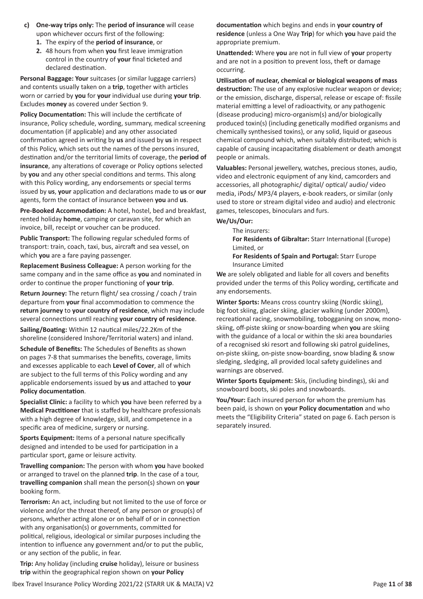- **c) One-way trips only:** The **period of insurance** will cease upon whichever occurs first of the following:
	- **1.** The expiry of the **period of insurance**, or
	- **2.** 48 hours from when **you** first leave immigration control in the country of **your** final ticketed and declared destination.

**Personal Baggage: Your** suitcases (or similar luggage carriers) and contents usually taken on a **trip**, together with articles worn or carried by **you** for **your** individual use during **your trip**. Excludes **money** as covered under Section 9.

**Policy Documentation:** This will include the certificate of insurance, Policy schedule, wording, summary, medical screening documentation (if applicable) and any other associated confirmation agreed in writing by **us** and issued by **us** in respect of this Policy, which sets out the names of the persons insured, destination and/or the territorial limits of coverage, the **period of insurance**, any alterations of coverage or Policy options selected by **you** and any other special conditions and terms. This along with this Policy wording, any endorsements or special terms issued by **us**, **your** application and declarations made to **us** or **our** agents, form the contact of insurance between **you** and **us**.

**Pre-Booked Accommodation:** A hotel, hostel, bed and breakfast, rented holiday **home**, camping or caravan site, for which an invoice, bill, receipt or voucher can be produced.

**Public Transport:** The following regular scheduled forms of transport: train, coach, taxi, bus, aircraft and sea vessel, on which **you** are a fare paying passenger.

**Replacement Business Colleague:** A person working for the same company and in the same office as **you** and nominated in order to continue the proper functioning of **your trip**.

**Return Journey:** The return flight/ sea crossing / coach / train departure from **your** final accommodation to commence the **return journey** to **your country of residence**, which may include several connections until reaching **your country of residence**.

**Sailing/Boating:** Within 12 nautical miles/22.2Km of the shoreline (considered Inshore/Territorial waters) and inland.

**Schedule of Benefits:** The Schedules of Benefits as shown on pages 7-8 that summarises the benefits, coverage, limits and excesses applicable to each **Level of Cover**, all of which are subject to the full terms of this Policy wording and any applicable endorsements issued by **us** and attached to **your Policy documentation**.

**Specialist Clinic:** a facility to which **you** have been referred by a **Medical Practitioner** that is staffed by healthcare professionals with a high degree of knowledge, skill, and competence in a specific area of medicine, surgery or nursing.

**Sports Equipment:** Items of a personal nature specifically designed and intended to be used for participation in a particular sport, game or leisure activity.

**Travelling companion:** The person with whom **you** have booked or arranged to travel on the planned **trip**. In the case of a tour, **travelling companion** shall mean the person(s) shown on **your** booking form.

**Terrorism:** An act, including but not limited to the use of force or violence and/or the threat thereof, of any person or group(s) of persons, whether acting alone or on behalf of or in connection with any organisation(s) or governments, committed for political, religious, ideological or similar purposes including the intention to influence any government and/or to put the public, or any section of the public, in fear.

**Trip:** Any holiday (including **cruise** holiday), leisure or business **trip** within the geographical region shown on **your Policy** 

**documentation** which begins and ends in **your country of residence** (unless a One Way **Trip**) for which **you** have paid the appropriate premium.

**Unattended:** Where **you** are not in full view of **your** property and are not in a position to prevent loss, theft or damage occurring.

**Utilisation of nuclear, chemical or biological weapons of mass destruction:** The use of any explosive nuclear weapon or device; or the emission, discharge, dispersal, release or escape of: fissile material emitting a level of radioactivity, or any pathogenic (disease producing) micro-organism(s) and/or biologically produced toxin(s) (including genetically modified organisms and chemically synthesised toxins), or any solid, liquid or gaseous chemical compound which, when suitably distributed; which is capable of causing incapacitating disablement or death amongst people or animals.

**Valuables:** Personal jewellery, watches, precious stones, audio, video and electronic equipment of any kind, camcorders and accessories, all photographic/ digital/ optical/ audio/ video media, iPods/ MP3/4 players, e-book readers, or similar (only used to store or stream digital video and audio) and electronic games, telescopes, binoculars and furs.

#### **We/Us/Our:**

The insurers:

**For Residents of Gibraltar:** Starr International (Europe) Limited, or

**For Residents of Spain and Portugal:** Starr Europe Insurance Limited

**We** are solely obligated and liable for all covers and benefits provided under the terms of this Policy wording, certificate and any endorsements.

**Winter Sports:** Means cross country skiing (Nordic skiing), big foot skiing, glacier skiing, glacier walking (under 2000m), recreational racing, snowmobiling, tobogganing on snow, monoskiing, off-piste skiing or snow-boarding when **you** are skiing with the guidance of a local or within the ski area boundaries of a recognised ski resort and following ski patrol guidelines, on-piste skiing, on-piste snow-boarding, snow blading & snow sledging, sledging, all provided local safety guidelines and warnings are observed.

**Winter Sports Equipment:** Skis, (including bindings), ski and snowboard boots, ski poles and snowboards.

**You/Your:** Each insured person for whom the premium has been paid, is shown on **your Policy documentation** and who meets the "Eligibility Criteria" stated on page 6. Each person is separately insured.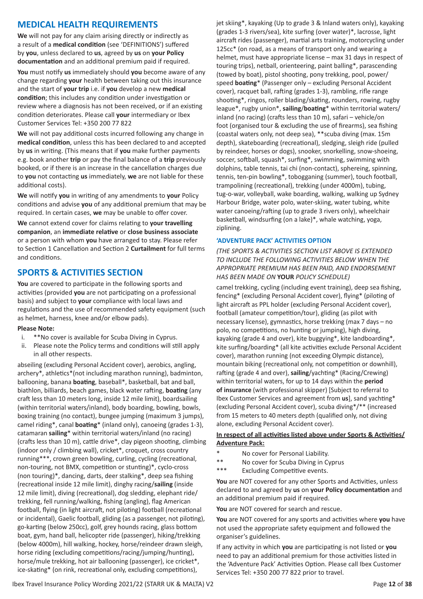### **MEDICAL HEALTH REQUIREMENTS**

**We** will not pay for any claim arising directly or indirectly as a result of a **medical condition** (see 'DEFINITIONS') suffered by **you**, unless declared to **us**, agreed by **us** on **your Policy documentation** and an additional premium paid if required.

**You** must notify **us** immediately should **you** become aware of any change regarding **your** health between taking out this insurance and the start of **your trip** i.e. if **you** develop a new **medical condition**; this includes any condition under investigation or review where a diagnosis has not been received, or if an existing condition deteriorates. Please call **your** intermediary or Ibex Customer Services Tel: +350 200 77 822

**We** will not pay additional costs incurred following any change in **medical condition**, unless this has been declared to and accepted by **us** in writing. (This means that if **you** make further payments e.g. book another **trip** or pay the final balance of a **trip** previously booked, or if there is an increase in the cancellation charges due to **you** not contacting **us** immediately, **we** are not liable for these additional costs).

**We** will notify **you** in writing of any amendments to **your** Policy conditions and advise **you** of any additional premium that may be required. In certain cases, **we** may be unable to offer cover.

**We** cannot extend cover for claims relating to **your travelling companion**, an **immediate relative** or **close business associate** or a person with whom **you** have arranged to stay. Please refer to Section 1 Cancellation and Section 2 **Curtailment** for full terms and conditions.

### **SPORTS & ACTIVITIES SECTION**

**You** are covered to participate in the following sports and activities (provided **you** are not participating on a professional basis) and subject to **your** compliance with local laws and regulations and the use of recommended safety equipment (such as helmet, harness, knee and/or elbow pads).

#### **Please Note:**

- i. \*\*No cover is available for Scuba Diving in Cyprus.
- ii. Please note the Policy terms and conditions will still apply in all other respects.

abseiling (excluding Personal Accident cover), aerobics, angling, archery\*, athletics\*(not including marathon running), badminton, ballooning, banana **boating**, baseball\*, basketball, bat and ball, biathlon, billiards, beach games, black water rafting, **boating** (any craft less than 10 meters long, inside 12 mile limit), boardsailing (within territorial waters/inland), body boarding, bowling, bowls, boxing training (no contact), bungee jumping (maximum 3 jumps), camel riding\*, canal **boating**\* (inland only), canoeing (grades 1-3), catamaran **sailing**\* within territorial waters/inland (no racing) (crafts less than 10 m), cattle drive\*, clay pigeon shooting, climbing (indoor only / climbing wall), cricket\*, croquet, cross country running\*\*\*, crown green bowling, curling, cycling (recreational, non-touring, not BMX, competition or stunting)\*, cyclo-cross (non touring)\*, dancing, darts, deer stalking\*, deep sea fishing (recreational inside 12 mile limit), dinghy racing/**sailing** (inside 12 mile limit), diving (recreational), dog sledding, elephant ride/ trekking, fell running/walking, fishing (angling), flag American football, flying (in light aircraft, not piloting) football (recreational or incidental), Gaelic football, gliding (as a passenger, not piloting), go-karting (below 250cc), golf, grey hounds racing, glass bottom boat, gym, hand ball, helicopter ride (passenger), hiking/trekking (below 4000m), hill walking, hockey, horse/reindeer drawn sleigh, horse riding (excluding competitions/racing/jumping/hunting), horse/mule trekking, hot air ballooning (passenger), ice cricket\*, ice-skating\* (on rink, recreational only, excluding competitions),

jet skiing\*, kayaking (Up to grade 3 & Inland waters only), kayaking (grades 1-3 rivers/sea), kite surfing (over water)\*, lacrosse, light aircraft rides (passenger), martial arts training, motorcycling under 125cc\* (on road, as a means of transport only and wearing a helmet, must have appropriate license – max 31 days in respect of touring trips), netball, orienteering, paint balling\*, parascending (towed by boat), pistol shooting, pony trekking, pool, power/ speed **boating**\* (Passenger only – excluding Personal Accident cover), racquet ball, rafting (grades 1-3), rambling, rifle range shooting\*, ringos, roller blading/skating, rounders, rowing, rugby league\*, rugby union\*, **sailing**/**boating**\* within territorial waters/ inland (no racing) (crafts less than 10 m), safari – vehicle/on foot (organised tour & excluding the use of firearms), sea fishing (coastal waters only, not deep sea), \*\*scuba diving (max. 15m depth), skateboarding (recreational), sledging, sleigh ride (pulled by reindeer, horses or dogs), snooker, snorkelling, snow-shoeing, soccer, softball, squash\*, surfing\*, swimming, swimming with dolphins, table tennis, tai chi (non-contact), sphereing, spinning, tennis, ten-pin bowling\*, tobogganing (summer), touch football, trampolining (recreational), trekking (under 4000m), tubing, tug-o-war, volleyball, wake boarding, walking, walking up Sydney Harbour Bridge, water polo, water-skiing, water tubing, white water canoeing/rafting (up to grade 3 rivers only), wheelchair basketball, windsurfing (on a lake)\*, whale watching, yoga, ziplining.

#### **'ADVENTURE PACK' ACTIVITIES OPTION**

*(THE SPORTS & ACTIVITIES SECTION LIST ABOVE IS EXTENDED TO INCLUDE THE FOLLOWING ACTIVITIES BELOW WHEN THE APPROPRIATE PREMIUM HAS BEEN PAID, AND ENDORSEMENT HAS BEEN MADE ON* **YOUR** *POLICY SCHEDULE)*

camel trekking, cycling (including event training), deep sea fishing, fencing\* (excluding Personal Accident cover), flying\* (piloting of light aircraft as PPL holder (excluding Personal Accident cover), football (amateur competition/tour), gliding (as pilot with necessary license), gymnastics, horse trekking (max 7 days – no polo, no competitions, no hunting or jumping), high diving, kayaking (grade 4 and over), kite buggying\*, kite landboarding\*, kite surfing/boarding\* (all kite activities exclude Personal Accident cover), marathon running (not exceeding Olympic distance), mountain biking (recreational only, not competition or downhill), rafting (grade 4 and over), **sailing**/yachting\* (Racing/Crewing) within territorial waters, for up to 14 days within the **period of insurance** (with professional skipper) [Subject to referral to Ibex Customer Services and agreement from **us**], sand yachting\* (excluding Personal Accident cover), scuba diving\*/\*\* (increased from 15 meters to 40 meters depth (qualified only, not diving alone, excluding Personal Accident cover).

#### **In respect of all activities listed above under Sports & Activities/ Adventure Pack:**

- \* No cover for Personal Liability.
- \*\* No cover for Scuba Diving in Cyprus
- \*\*\* Excluding Competitive events.

You are NOT covered for any other Sports and Activities, unless declared to and agreed by **us** on **your Policy documentation** and an additional premium paid if required.

**You** are NOT covered for search and rescue.

**You** are NOT covered for any sports and activities where **you** have not used the appropriate safety equipment and followed the organiser's guidelines.

If any activity in which **you** are participating is not listed or **you** need to pay an additional premium for those activities listed in the 'Adventure Pack' Activities Option. Please call Ibex Customer Services Tel: +350 200 77 822 prior to travel.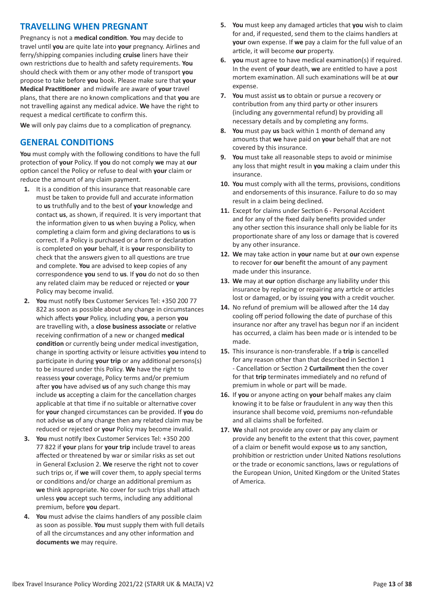### **TRAVELLING WHEN PREGNANT**

Pregnancy is not a **medical condition**. **You** may decide to travel until **you** are quite late into **your** pregnancy. Airlines and ferry/shipping companies including **cruise** liners have their own restrictions due to health and safety requirements. **You** should check with them or any other mode of transport **you** propose to take before **you** book. Please make sure that **your Medical Practitioner** and midwife are aware of **your** travel plans, that there are no known complications and that **you** are not travelling against any medical advice. **We** have the right to request a medical certificate to confirm this.

**We** will only pay claims due to a complication of pregnancy.

### **GENERAL CONDITIONS**

**You** must comply with the following conditions to have the full protection of **your** Policy. If **you** do not comply **we** may at **our** option cancel the Policy or refuse to deal with **your** claim or reduce the amount of any claim payment.

- **1.** It is a condition of this insurance that reasonable care must be taken to provide full and accurate information to **us** truthfully and to the best of **your** knowledge and contact **us**, as shown, if required. It is very important that the information given to **us** when buying a Policy, when completing a claim form and giving declarations to **us** is correct. If a Policy is purchased or a form or declaration is completed on **your** behalf, it is **your** responsibility to check that the answers given to all questions are true and complete. **You** are advised to keep copies of any correspondence **you** send to **us**. If **you** do not do so then any related claim may be reduced or rejected or **your** Policy may become invalid.
- **2. You** must notify Ibex Customer Services Tel: +350 200 77 822 as soon as possible about any change in circumstances which affects **your** Policy, including **you**, a person **you** are travelling with, a **close business associate** or relative receiving confirmation of a new or changed **medical condition** or currently being under medical investigation, change in sporting activity or leisure activities **you** intend to participate in during **your trip** or any additional persons(s) to be insured under this Policy. **We** have the right to reassess **your** coverage, Policy terms and/or premium after **you** have advised **us** of any such change this may include **us** accepting a claim for the cancellation charges applicable at that time if no suitable or alternative cover for **your** changed circumstances can be provided. If **you** do not advise **us** of any change then any related claim may be reduced or rejected or **your** Policy may become invalid.
- **3. You** must notify Ibex Customer Services Tel: +350 200 77 822 if **your** plans for **your trip** include travel to areas affected or threatened by war or similar risks as set out in General Exclusion 2. **We** reserve the right not to cover such trips or, if **we** will cover them, to apply special terms or conditions and/or charge an additional premium as **we** think appropriate. No cover for such trips shall attach unless **you** accept such terms, including any additional premium, before **you** depart.
- **4. You** must advise the claims handlers of any possible claim as soon as possible. **You** must supply them with full details of all the circumstances and any other information and **documents we** may require.
- **5. You** must keep any damaged articles that **you** wish to claim for and, if requested, send them to the claims handlers at **your** own expense. If **we** pay a claim for the full value of an article, it will become **our** property.
- **6. you** must agree to have medical examination(s) if required. In the event of **your** death, **we** are entitled to have a post mortem examination. All such examinations will be at **our** expense.
- **7. You** must assist **us** to obtain or pursue a recovery or contribution from any third party or other insurers (including any governmental refund) by providing all necessary details and by completing any forms.
- **8. You** must pay **us** back within 1 month of demand any amounts that **we** have paid on **your** behalf that are not covered by this insurance.
- **9. You** must take all reasonable steps to avoid or minimise any loss that might result in **you** making a claim under this insurance.
- **10. You** must comply with all the terms, provisions, conditions and endorsements of this insurance. Failure to do so may result in a claim being declined.
- **11.** Except for claims under Section 6 Personal Accident and for any of the fixed daily benefits provided under any other section this insurance shall only be liable for its proportionate share of any loss or damage that is covered by any other insurance.
- **12. We** may take action in **your** name but at **our** own expense to recover for **our** benefit the amount of any payment made under this insurance.
- **13. We** may at **our** option discharge any liability under this insurance by replacing or repairing any article or articles lost or damaged, or by issuing **you** with a credit voucher.
- **14.** No refund of premium will be allowed after the 14 day cooling off period following the date of purchase of this insurance nor after any travel has begun nor if an incident has occurred, a claim has been made or is intended to be made.
- **15.** This insurance is non-transferable. If a **trip** is cancelled for any reason other than that described in Section 1 - Cancellation or Section 2 **Curtailment** then the cover for that **trip** terminates immediately and no refund of premium in whole or part will be made.
- **16.** If **you** or anyone acting on **your** behalf makes any claim knowing it to be false or fraudulent in any way then this insurance shall become void, premiums non-refundable and all claims shall be forfeited.
- **17. We** shall not provide any cover or pay any claim or provide any benefit to the extent that this cover, payment of a claim or benefit would expose **us** to any sanction, prohibition or restriction under United Nations resolutions or the trade or economic sanctions, laws or regulations of the European Union, United Kingdom or the United States of America.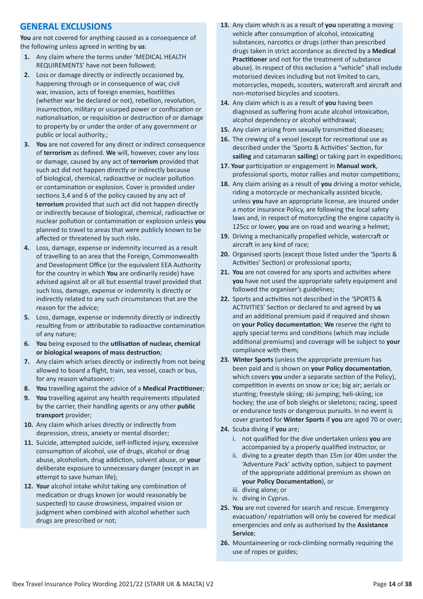### **GENERAL EXCLUSIONS**

**You** are not covered for anything caused as a consequence of the following unless agreed in writing by **us**:

- **1.** Any claim where the terms under 'MEDICAL HEALTH REQUIREMENTS' have not been followed;
- **2.** Loss or damage directly or indirectly occasioned by, happening through or in consequence of war, civil war, invasion, acts of foreign enemies, hostilities (whether war be declared or not), rebellion, revolution, insurrection, military or usurped power or confiscation or nationalisation, or requisition or destruction of or damage to property by or under the order of any government or public or local authority.;
- **3. You** are not covered for any direct or indirect consequence of **terrorism** as defined. **We** will, however, cover any loss or damage, caused by any act of **terrorism** provided that such act did not happen directly or indirectly because of biological, chemical, radioactive or nuclear pollution or contamination or explosion. Cover is provided under sections 3,4 and 6 of the policy caused by any act of **terrorism** provided that such act did not happen directly or indirectly because of biological, chemical, radioactive or nuclear pollution or contamination or explosion unless **you** planned to travel to areas that were publicly known to be affected or threatened by such risks.
- **4.** Loss, damage, expense or indemnity incurred as a result of travelling to an area that the Foreign, Commonwealth and Development Office (or the equivalent EEA Authority for the country in which **You** are ordinarily reside) have advised against all or all but essential travel provided that such loss, damage, expense or indemnity is directly or indirectly related to any such circumstances that are the reason for the advice;
- **5.** Loss, damage, expense or indemnity directly or indirectly resulting from or attributable to radioactive contamination of any nature;
- **6. You** being exposed to the **utilisation of nuclear, chemical or biological weapons of mass destruction**;
- **7.** Any claim which arises directly or indirectly from not being allowed to board a flight, train, sea vessel, coach or bus, for any reason whatsoever;
- **8. You** travelling against the advice of a **Medical Practitioner**;
- **9. You** travelling against any health requirements stipulated by the carrier, their handling agents or any other **public transport** provider;
- **10.** Any claim which arises directly or indirectly from depression, stress, anxiety or mental disorder;
- **11.** Suicide, attempted suicide, self-inflicted injury, excessive consumption of alcohol, use of drugs, alcohol or drug abuse, alcoholism, drug addiction, solvent abuse, or **your** deliberate exposure to unnecessary danger (except in an attempt to save human life);
- **12. Your** alcohol intake whilst taking any combination of medication or drugs known (or would reasonably be suspected) to cause drowsiness, impaired vision or judgment when combined with alcohol whether such drugs are prescribed or not;
- **13.** Any claim which is as a result of **you** operating a moving vehicle after consumption of alcohol, intoxicating substances, narcotics or drugs (other than prescribed drugs taken in strict accordance as directed by a **Medical Practitioner** and not for the treatment of substance abuse). In respect of this exclusion a "vehicle" shall include motorised devices including but not limited to cars, motorcycles, mopeds, scooters, watercraft and aircraft and non-motorised bicycles and scooters.
- **14.** Any claim which is as a result of **you** having been diagnosed as suffering from acute alcohol intoxication, alcohol dependency or alcohol withdrawal;
- **15.** Any claim arising from sexually transmitted diseases;
- **16.** The crewing of a vessel (except for recreational use as described under the 'Sports & Activities' Section, for **sailing** and catamaran **sailing**) or taking part in expeditions;
- **17. Your** participation or engagement in **Manual work**, professional sports, motor rallies and motor competitions;
- **18.** Any claim arising as a result of **you** driving a motor vehicle, riding a motorcycle or mechanically assisted bicycle, unless **you** have an appropriate license, are insured under a motor insurance Policy, are following the local safety laws and, in respect of motorcycling the engine capacity is 125cc or lower, **you** are on road and wearing a helmet;
- **19.** Driving a mechanically propelled vehicle, watercraft or aircraft in any kind of race;
- **20.** Organised sports (except those listed under the 'Sports & Activities' Section) or professional sports;
- **21. You** are not covered for any sports and activities where **you** have not used the appropriate safety equipment and followed the organiser's guidelines;
- **22.** Sports and activities not described in the 'SPORTS & ACTIVITIES' Section or declared to and agreed by **us** and an additional premium paid if required and shown on **your Policy documentation**; **We** reserve the right to apply special terms and conditions (which may include additional premiums) and coverage will be subject to **your** compliance with them;
- **23. Winter Sports** (unless the appropriate premium has been paid and is shown on **your Policy documentation**, which covers **you** under a separate section of the Policy), competition in events on snow or ice; big air; aerials or stunting; freestyle skiing; ski jumping; heli-skiing; ice hockey; the use of bob sleighs or skeletons; racing, speed or endurance tests or dangerous pursuits. In no event is cover granted for **Winter Sports** if **you** are aged 70 or over;
- **24.** Scuba diving if **you** are;
	- i. not qualified for the dive undertaken unless **you** are accompanied by a properly qualified instructor, or
	- ii. diving to a greater depth than 15m (or 40m under the 'Adventure Pack' activity option, subject to payment of the appropriate additional premium as shown on **your Policy Documentation**), or
	- iii. diving alone; or
	- iv. diving in Cyprus.
- **25. You** are not covered for search and rescue. Emergency evacuation/ repatriation will only be covered for medical emergencies and only as authorised by the **Assistance Service**;
- **26.** Mountaineering or rock-climbing normally requiring the use of ropes or guides;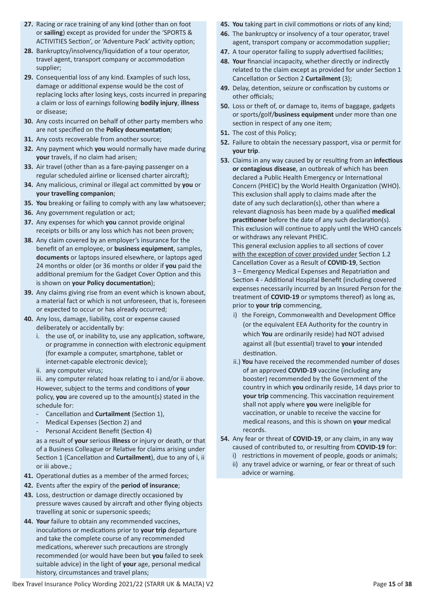- **27.** Racing or race training of any kind (other than on foot or **sailing**) except as provided for under the 'SPORTS & ACTIVITIES Section', or 'Adventure Pack' activity option;
- **28.** Bankruptcy/insolvency/liquidation of a tour operator, travel agent, transport company or accommodation supplier;
- **29.** Consequential loss of any kind. Examples of such loss, damage or additional expense would be the cost of replacing locks after losing keys, costs incurred in preparing a claim or loss of earnings following **bodily injury**, **illness** or disease;
- **30.** Any costs incurred on behalf of other party members who are not specified on the **Policy documentation**;
- **31.** Any costs recoverable from another source;
- **32.** Any payment which **you** would normally have made during **your** travels, if no claim had arisen;
- **33.** Air travel (other than as a fare-paying passenger on a regular scheduled airline or licensed charter aircraft);
- **34.** Any malicious, criminal or illegal act committed by **you** or **your travelling companion**;
- **35. You** breaking or failing to comply with any law whatsoever;
- **36.** Any government regulation or act;
- **37.** Any expenses for which **you** cannot provide original receipts or bills or any loss which has not been proven;
- **38.** Any claim covered by an employer's insurance for the benefit of an employee, or **business equipment**, samples, **documents** or laptops insured elsewhere, or laptops aged 24 months or older (or 36 months or older if **you** paid the additional premium for the Gadget Cover Option and this is shown on **your Policy documentation**);
- **39.** Any claims giving rise from an event which is known about, a material fact or which is not unforeseen, that is, foreseen or expected to occur or has already occurred;
- **40.** Any loss, damage, liability, cost or expense caused deliberately or accidentally by:
	- i. the use of, or inability to, use any application, software, or programme in connection with electronic equipment (for example a computer, smartphone, tablet or internet-capable electronic device);
	- ii. any computer virus;
	- iii. any computer related hoax relating to i and/or ii above. However, subject to the terms and conditions of **your** policy, **you** are covered up to the amount(s) stated in the schedule for:
	- Cancellation and **Curtailment** (Section 1),
	- Medical Expenses (Section 2) and
	- Personal Accident Benefit (Section 4)

as a result of **your** serious **illness** or injury or death, or that of a Business Colleague or Relative for claims arising under Section 1 (Cancellation and **Curtailment**), due to any of i, ii or iii above.;

- **41.** Operational duties as a member of the armed forces;
- **42.** Events after the expiry of the **period of insurance**;
- **43.** Loss, destruction or damage directly occasioned by pressure waves caused by aircraft and other flying objects travelling at sonic or supersonic speeds;
- **44. Your** failure to obtain any recommended vaccines, inoculations or medications prior to **your trip** departure and take the complete course of any recommended medications, wherever such precautions are strongly recommended (or would have been but **you** failed to seek suitable advice) in the light of **your** age, personal medical history, circumstances and travel plans;
- **45. You** taking part in civil commotions or riots of any kind;
- **46.** The bankruptcy or insolvency of a tour operator, travel agent, transport company or accommodation supplier;
- **47.** A tour operator failing to supply advertised facilities;
- **48. Your** financial incapacity, whether directly or indirectly related to the claim except as provided for under Section 1 Cancellation or Section 2 **Curtailment** (3);
- **49.** Delay, detention, seizure or confiscation by customs or other officials;
- **50.** Loss or theft of, or damage to, items of baggage, gadgets or sports/golf/**business equipment** under more than one section in respect of any one item;
- **51.** The cost of this Policy;
- **52.** Failure to obtain the necessary passport, visa or permit for **your trip**.
- **53.** Claims in any way caused by or resulting from an **infectious or contagious disease**, an outbreak of which has been declared a Public Health Emergency or International Concern (PHEIC) by the World Health Organization (WHO). This exclusion shall apply to claims made after the date of any such declaration(s), other than where a relevant diagnosis has been made by a qualified **medical practitioner** before the date of any such declaration(s). This exclusion will continue to apply until the WHO cancels or withdraws any relevant PHEIC.

This general exclusion applies to all sections of cover with the exception of cover provided under Section 1.2 Cancellation Cover as a Result of **COVID-19**, Section 3 – Emergency Medical Expenses and Repatriation and Section 4 - Additional Hospital Benefit (including covered expenses necessarily incurred by an Insured Person for the treatment of **COVID-19** or symptoms thereof) as long as, prior to **your trip** commencing,

- i) the Foreign, Commonwealth and Development Office (or the equivalent EEA Authority for the country in which **You** are ordinarily reside) had NOT advised against all (but essential) travel to **your** intended destination.
- ii.) **You** have received the recommended number of doses of an approved **COVID-19** vaccine (including any booster) recommended by the Government of the country in which **you** ordinarily reside, 14 days prior to **your trip** commencing. This vaccination requirement shall not apply where **you** were ineligible for vaccination, or unable to receive the vaccine for medical reasons, and this is shown on **your** medical records.
- **54.** Any fear or threat of **COVID-19**, or any claim, in any way caused of contributed to, or resulting from **COVID-19** for:
	- i) restrictions in movement of people, goods or animals;
	- ii) any travel advice or warning, or fear or threat of such advice or warning.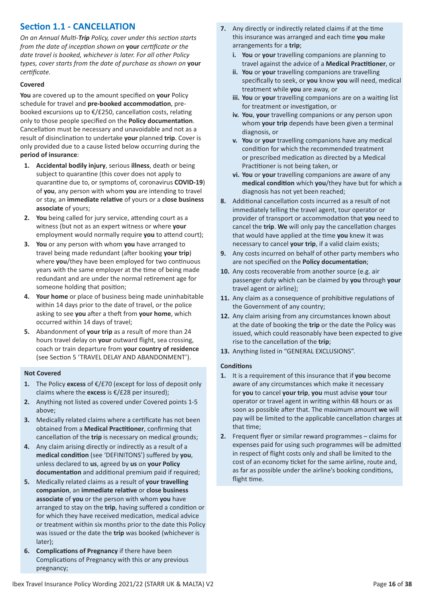### **Section 1.1 - CANCELLATION**

*On an Annual Multi-Trip Policy, cover under this section starts from the date of inception shown on* **your** *certificate or the date travel is booked, whichever is later. For all other Policy types, cover starts from the date of purchase as shown on* **your** *certificate.*

#### **Covered**

**You** are covered up to the amount specified on **your** Policy schedule for travel and **pre-booked accommodation**, prebooked excursions up to €/£250, cancellation costs, relating only to those people specified on the **Policy documentation**. Cancellation must be necessary and unavoidable and not as a result of disinclination to undertake **your** planned **trip**. Cover is only provided due to a cause listed below occurring during the **period of insurance**:

- **1. Accidental bodily injury**, serious **illness**, death or being subject to quarantine (this cover does not apply to quarantine due to, or symptoms of, coronavirus **COVID-19**) of **you**, any person with whom **you** are intending to travel or stay, an **immediate relative** of yours or a **close business associate** of yours;
- **2. You** being called for jury service, attending court as a witness (but not as an expert witness or where **your** employment would normally require **you** to attend court);
- **3. You** or any person with whom **you** have arranged to travel being made redundant (after booking **your trip**) where **you**/they have been employed for two continuous years with the same employer at the time of being made redundant and are under the normal retirement age for someone holding that position;
- **4. Your home** or place of business being made uninhabitable within 14 days prior to the date of travel, or the police asking to see **you** after a theft from **your home**, which occurred within 14 days of travel;
- **5.** Abandonment of **your trip** as a result of more than 24 hours travel delay on **your** outward flight, sea crossing, coach or train departure from **your country of residence** (see Section 5 'TRAVEL DELAY AND ABANDONMENT').

#### **Not Covered**

- **1.** The Policy **excess** of €/£70 (except for loss of deposit only claims where the **excess** is €/£28 per insured);
- **2.** Anything not listed as covered under Covered points 1-5 above;
- **3.** Medically related claims where a certificate has not been obtained from a **Medical Practitioner**, confirming that cancellation of the **trip** is necessary on medical grounds;
- **4.** Any claim arising directly or indirectly as a result of a **medical condition** (see 'DEFINITONS') suffered by **you**, unless declared to **us**, agreed by **us** on **your Policy documentation** and additional premium paid if required;
- **5.** Medically related claims as a result of **your travelling companion**, an **immediate relative** or **close business associate** of **you** or the person with whom **you** have arranged to stay on the **trip**, having suffered a condition or for which they have received medication, medical advice or treatment within six months prior to the date this Policy was issued or the date the **trip** was booked (whichever is later);
- **6. Complications of Pregnancy** if there have been Complications of Pregnancy with this or any previous pregnancy;
- **7.** Any directly or indirectly related claims if at the time this insurance was arranged and each time **you** make arrangements for a **trip**;
	- **i. You** or **your** travelling companions are planning to travel against the advice of a **Medical Practitioner**, or
	- **ii. You** or **your** travelling companions are travelling specifically to seek, or **you** know **you** will need, medical treatment while **you** are away, or
	- **iii. You** or **your** travelling companions are on a waiting list for treatment or investigation, or
	- **iv. You**, **your** travelling companions or any person upon whom **your trip** depends have been given a terminal diagnosis, or
	- **v. You** or **your** travelling companions have any medical condition for which the recommended treatment or prescribed medication as directed by a Medical Practitioner is not being taken, or
	- **vi. You** or **your** travelling companions are aware of any **medical condition** which **you**/they have but for which a diagnosis has not yet been reached;
- **8.** Additional cancellation costs incurred as a result of not immediately telling the travel agent, tour operator or provider of transport or accommodation that **you** need to cancel the **trip**. **We** will only pay the cancellation charges that would have applied at the time **you** knew it was necessary to cancel **your trip**, if a valid claim exists;
- **9.** Any costs incurred on behalf of other party members who are not specified on the **Policy documentation**;
- **10.** Any costs recoverable from another source (e.g. air passenger duty which can be claimed by **you** through **your** travel agent or airline);
- **11.** Any claim as a consequence of prohibitive regulations of the Government of any country;
- **12.** Any claim arising from any circumstances known about at the date of booking the **trip** or the date the Policy was issued, which could reasonably have been expected to give rise to the cancellation of the **trip**;
- **13.** Anything listed in "GENERAL EXCLUSIONS".

#### **Conditions**

- **1.** It is a requirement of this insurance that if **you** become aware of any circumstances which make it necessary for **you** to cancel **your trip**, **you** must advise **your** tour operator or travel agent in writing within 48 hours or as soon as possible after that. The maximum amount **we** will pay will be limited to the applicable cancellation charges at that time;
- **2.** Frequent flyer or similar reward programmes claims for expenses paid for using such programmes will be admitted in respect of flight costs only and shall be limited to the cost of an economy ticket for the same airline, route and, as far as possible under the airline's booking conditions, flight time.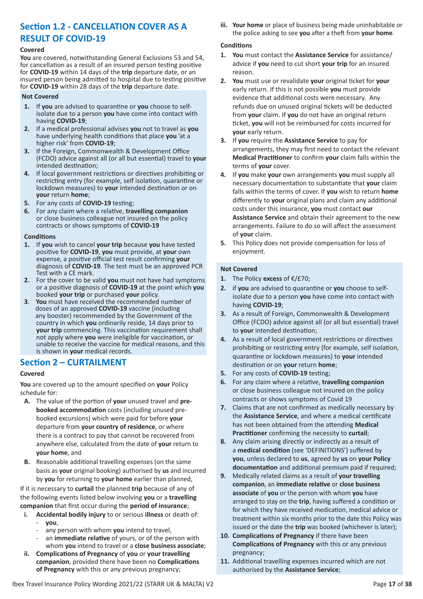### **Section 1.2 - CANCELLATION COVER AS A RESULT OF COVID-19**

#### **Covered**

**You** are covered, notwithstanding General Exclusions 53 and 54, for cancellation as a result of an insured person testing positive for **COVID-19** within 14 days of the **trip** departure date, or an insured person being admitted to hospital due to testing positive for **COVID-19** within 28 days of the **trip** departure date.

#### **Not Covered**

- **1.** If **you** are advised to quarantine or **you** choose to selfisolate due to a person **you** have come into contact with having **COVID-19**;
- **2.** If a medical professional advises **you** not to travel as **you** have underlying health conditions that place **you** 'at a higher risk' from **COVID-19**;
- **3.** If the Foreign, Commonwealth & Development Office (FCDO) advice against all (or all but essential) travel to **your** intended destination;
- **4.** If local government restrictions or directives prohibiting or restricting entry (for example, self isolation, quarantine or lockdown measures) to **your** intended destination or on **your** return **home**;
- **5.** For any costs of **COVID-19** testing;
- **6.** For any claim where a relative, **travelling companion** or close business colleague not insured on the policy contracts or shows symptoms of **COVID-19**

#### **Conditions**

- **1.** If **you** wish to cancel **your trip** because **you** have tested positive for **COVID-19**, **you** must provide, at **your** own expense, a positive official test result confirming **your** diagnosis of **COVID-19**. The test must be an approved PCR Test with a CE mark.
- **2.** For the cover to be valid **you** must not have had symptoms or a positive diagnosis of **COVID-19** at the point which **you** booked **your trip** or purchased **your** policy.
- **3**. **You** must have received the recommended number of doses of an approved **COVID-19** vaccine (including any booster) recommended by the Government of the country in which **you** ordinarily reside, 14 days prior to **your trip** commencing. This vaccination requirement shall not apply where **you** were ineligible for vaccination, or unable to receive the vaccine for medical reasons, and this is shown in **your** medical records.

### **Section 2 – CURTAILMENT**

#### **Covered**

**You** are covered up to the amount specified on **your** Policy schedule for:

- **A.** The value of the portion of **your** unused travel and **prebooked accommodation** costs (including unused prebooked excursions) which were paid for before **your** departure from **your country of residence**, or where there is a contract to pay that cannot be recovered from anywhere else, calculated from the date of **your** return to **your home**, and
- **B.** Reasonable additional travelling expenses (on the same basis as **your** original booking) authorised by **us** and incurred by **you** for returning to **your home** earlier than planned,

If it is necessary to **curtail** the planned **trip** because of any of the following events listed below involving **you** or a **travelling companion** that first occur during the **period of insurance**;

- **i. Accidental bodily injury** to or serious **illness** or death of: - **you**,
	- any person with whom you intend to travel,
	- an *immediate relative* of yours, or of the person with whom **you** intend to travel or a **close business associate**;
- **ii. Complications of Pregnancy** of **you** or **your travelling companion**, provided there have been no **Complications of Pregnancy** with this or any previous pregnancy;

**iii. Your home** or place of business being made uninhabitable or the police asking to see **you** after a theft from **your home**.

#### **Conditions**

- **1. You** must contact the **Assistance Service** for assistance/ advice if **you** need to cut short **your trip** for an insured reason.
- **2. You** must use or revalidate **your** original ticket for **your** early return. If this is not possible **you** must provide evidence that additional costs were necessary. Any refunds due on unused original tickets will be deducted from **your** claim. If **you** do not have an original return ticket, **you** will not be reimbursed for costs incurred for **your** early return.
- **3.** If **you** require the **Assistance Service** to pay for arrangements, they may first need to contact the relevant **Medical Practitioner** to confirm **your** claim falls within the terms of **your** cover.
- **4.** If **you** make **your** own arrangements **you** must supply all necessary documentation to substantiate that **your** claim falls within the terms of cover. If **you** wish to return **home** differently to **your** original plans and claim any additional costs under this insurance, **you** must contact **our Assistance Service** and obtain their agreement to the new arrangements. Failure to do so will affect the assessment of **your** claim.
- **5.** This Policy does not provide compensation for loss of enjoyment.

- **1.** The Policy **excess** of €/£70;
- **2.** if **you** are advised to quarantine or **you** choose to selfisolate due to a person **you** have come into contact with having **COVID-19**;
- **3.** As a result of Foreign, Commonwealth & Development Office (FCDO) advice against all (or all but essential) travel to **your** intended destination;
- **4.** As a result of local government restrictions or directives prohibiting or restricting entry (for example, self isolation, quarantine or lockdown measures) to **your** intended destination or on **your** return **home**;
- **5.** For any costs of **COVID-19** testing;
- **6.** For any claim where a relative, **travelling companion** or close business colleague not insured on the policy contracts or shows symptoms of Covid 19
- **7.** Claims that are not confirmed as medically necessary by the **Assistance Service**, and where a medical certificate has not been obtained from the attending **Medical Practitioner** confirming the necessity to **curtail**;
- **8.** Any claim arising directly or indirectly as a result of a **medical condition** (see 'DEFINITIONS') suffered by **you**, unless declared to **us**, agreed by **us** on **your Policy documentation** and additional premium paid if required;
- **9.** Medically related claims as a result of **your travelling companion**, an **immediate relative** or **close business associate** of **you** or the person with whom **you** have arranged to stay on the **trip**, having suffered a condition or for which they have received medication, medical advice or treatment within six months prior to the date this Policy was issued or the date the **trip** was booked (whichever is later);
- **10. Complications of Pregnancy** if there have been **Complications of Pregnancy** with this or any previous pregnancy;
- **11.** Additional travelling expenses incurred which are not authorised by the **Assistance Service**;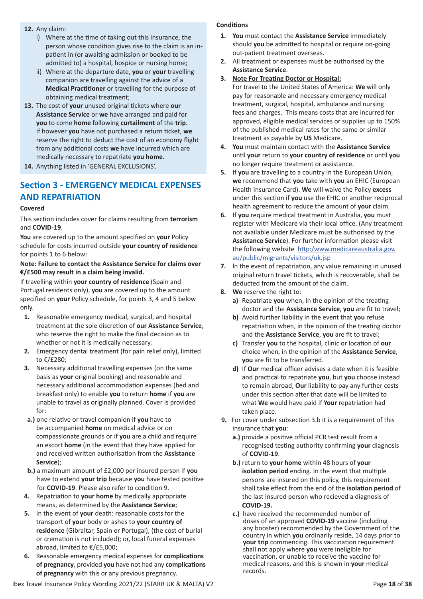- **12.** Any claim:
	- i) Where at the time of taking out this insurance, the person whose condition gives rise to the claim is an inpatient in (or awaiting admission or booked to be admitted to) a hospital, hospice or nursing home;
	- ii) Where at the departure date, **you** or **your** travelling companion are travelling against the advice of a **Medical Practitioner** or travelling for the purpose of obtaining medical treatment;
- **13.** The cost of **your** unused original tickets where **our Assistance Service** or **we** have arranged and paid for **you** to come **home** following **curtailment** of the **trip**. If however **you** have not purchased a return ticket, **we** reserve the right to deduct the cost of an economy flight from any additional costs **we** have incurred which are medically necessary to repatriate **you home**.
- **14.** Anything listed in 'GENERAL EXCLUSIONS'.

### **Section 3 - EMERGENCY MEDICAL EXPENSES AND REPATRIATION**

#### **Covered**

This section includes cover for claims resulting from **terrorism** and **COVID-19**.

**You** are covered up to the amount specified on **your** Policy schedule for costs incurred outside **your country of residence** for points 1 to 6 below:

#### **Note: Failure to contact the Assistance Service for claims over €/£500 may result in a claim being invalid.**

If travelling within **your country of residence** (Spain and Portugal residents only), **you** are covered up to the amount specified on **your** Policy schedule, for points 3, 4 and 5 below only.

- **1.** Reasonable emergency medical, surgical, and hospital treatment at the sole discretion of **our Assistance Service**, who reserve the right to make the final decision as to whether or not it is medically necessary.
- **2.** Emergency dental treatment (for pain relief only), limited to €/£280;
- **3.** Necessary additional travelling expenses (on the same basis as **your** original booking) and reasonable and necessary additional accommodation expenses (bed and breakfast only) to enable **you** to return **home** if **you** are unable to travel as originally planned. Cover is provided for:
- **a.)** one relative or travel companion if **you** have to be accompanied **home** on medical advice or on compassionate grounds or if **you** are a child and require an escort **home** (in the event that they have applied for and received written authorisation from the **Assistance Service**);
- **b.)** a maximum amount of £2,000 per insured person if **you** have to extend **your trip** because **you** have tested positive for **COVID-19**. Please also refer to condition 9.
- **4.** Repatriation to **your home** by medically appropriate means, as determined by the **Assistance Service**;
- **5.** In the event of **your** death: reasonable costs for the transport of **your** body or ashes to **your country of residence** (Gibraltar, Spain or Portugal), (the cost of burial or cremation is not included); or, local funeral expenses abroad, limited to €/£5,000;
- **6.** Reasonable emergency medical expenses for **complications of pregnancy**, provided **you** have not had any **complications of pregnancy** with this or any previous pregnancy.

#### **Conditions**

- **1. You** must contact the **Assistance Service** immediately should **you** be admitted to hospital or require on-going out-patient treatment overseas.
- **2.** All treatment or expenses must be authorised by the **Assistance Service**.
- **3. Note For Treating Doctor or Hospital:**

For travel to the United States of America: **We** will only pay for reasonable and necessary emergency medical treatment, surgical, hospital, ambulance and nursing fees and charges. This means costs that are incurred for approved, eligible medical services or supplies up to 150% of the published medical rates for the same or similar treatment as payable by **US** Medicare.

- **4. You** must maintain contact with the **Assistance Service** until **your** return to **your country of residence** or until **you** no longer require treatment or assistance.
- **5.** If **you** are travelling to a country in the European Union, **we** recommend that **you** take with **you** an EHIC (European Health Insurance Card). **We** will waive the Policy **excess** under this section if **you** use the EHIC or another reciprocal health agreement to reduce the amount of **your** claim.
- **6.** If **you** require medical treatment in Australia, **you** must register with Medicare via their local office. (Any treatment not available under Medicare must be authorised by the **Assistance Service**). For further information please visit the following website http:/www.medicareaustralia.gov. au/public/migrants/visitors/uk.jsp
- **7.** ln the event of repatriation, any value remaining in unused original return travel tickets, which is recoverable, shall be deducted from the amount of the claim.
- **8. We** reserve the right to:
	- **a)** Repatriate **you** when, in the opinion of the treating doctor and the **Assistance Service**, **you** are fit to travel;
	- **b)** Avoid further liability in the event that **you** refuse repatriation when, in the opinion of the treating doctor and the **Assistance Service**, **you** are fit to travel;
	- **c)** Transfer **you** to the hospital, clinic or location of **our** choice when, in the opinion of the **Assistance Service**, **you** are fit to be transferred.
	- **d)** If **Our** medical officer advises a date when it is feasible and practical to repatriate **you**, but **you** choose instead to remain abroad, **Our** liability to pay any further costs under this section after that date will be limited to what **We** would have paid if **Your** repatriation had taken place.
- **9.** For cover under subsection 3.b it is a requirement of this insurance that **you**:
	- **a.)** provide a positive official PCR test result from a recognised testing authority confirming **your** diagnosis of **COVID-19**.
	- **b.)** return to **your home** within 48 hours of **your isolation period** ending. In the event that multiple persons are insured on this policy, this requirement shall take effect from the end of the **isolation period** of the last insured person who recieved a diagnosis of  **COVID-19.**
	- **c.)** have received the recommended number of doses of an approved **COVID-19** vaccine (including any booster) recommended by the Government of the country in which **you** ordinarily reside, 14 days prior to your trip commencing. This vaccination requirement shall not apply where **you** were ineligible for vaccination, or unable to receive the vaccine for medical reasons, and this is shown in **your** medical records.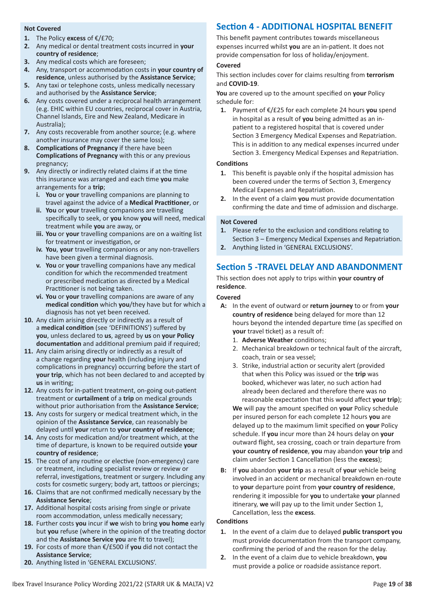#### **Not Covered**

- **1.** The Policy **excess** of €/£70;
- **2.** Any medical or dental treatment costs incurred in **your country of residence**;
- **3.** Any medical costs which are foreseen;
- **4.** Any, transport or accommodation costs in **your country of residence**, unless authorised by the **Assistance Service**;
- **5.** Any taxi or telephone costs, unless medically necessary and authorised by the **Assistance Service**;
- **6.** Any costs covered under a reciprocal health arrangement (e.g. EHIC within EU countries, reciprocal cover in Austria, Channel Islands, Eire and New Zealand, Medicare in Australia);
- **7.** Any costs recoverable from another source; (e.g. where another insurance may cover the same loss);
- **8. Complications of Pregnancy** if there have been **Complications of Pregnancy** with this or any previous pregnancy;
- **9.** Any directly or indirectly related claims if at the time this insurance was arranged and each time **you** make arrangements for a **trip**;
	- **i. You** or **your** travelling companions are planning to travel against the advice of a **Medical Practitioner**, or
	- **ii. You** or **your** travelling companions are travelling specifically to seek, or **you** know **you** will need, medical treatment while **you** are away, or
	- **iii. You** or **your** travelling companions are on a waiting list for treatment or investigation, or
	- **iv. You**, **your** travelling companions or any non-travellers have been given a terminal diagnosis.
	- **v. You** or **your** travelling companions have any medical condition for which the recommended treatment or prescribed medication as directed by a Medical Practitioner is not being taken.
	- **vi. You** or **your** travelling companions are aware of any **medical condition** which **you**/they have but for which a diagnosis has not yet been received.
- **10.** Any claim arising directly or indirectly as a result of a **medical condition** (see 'DEFINITIONS') suffered by **you**, unless declared to **us**, agreed by **us** on **your Policy documentation** and additional premium paid if required;
- **11.** Any claim arising directly or indirectly as a result of a change regarding **your** health (including injury and complications in pregnancy) occurring before the start of **your trip**, which has not been declared to and accepted by **us** in writing;
- **12.** Any costs for in-patient treatment, on-going out-patient treatment or **curtailment** of a **trip** on medical grounds without prior authorisation from the **Assistance Service**;
- **13.** Any costs for surgery or medical treatment which, in the opinion of the **Assistance Service**, can reasonably be delayed until **your** return to **your country of residence**;
- **14.** Any costs for medication and/or treatment which, at the time of departure, is known to be required outside **your country of residence**;
- **15**. The cost of any routine or elective (non-emergency) care or treatment, including specialist review or review or referral, investigations, treatment or surgery. Including any costs for cosmetic surgery; body art, tattoos or piercings;
- **16.** Claims that are not confirmed medically necessary by the **Assistance Service**;
- **17.** Additional hospital costs arising from single or private room accommodation, unless medically necessary;
- **18.** Further costs **you** incur if **we** wish to bring **you home** early but **you** refuse (where in the opinion of the treating doctor and the **Assistance Service you** are fit to travel);
- **19.** For costs of more than €/£500 if **you** did not contact the **Assistance Service**;
- **20.** Anything listed in 'GENERAL EXCLUSIONS'.

### **Section 4 - ADDITIONAL HOSPITAL BENEFIT**

This benefit payment contributes towards miscellaneous expenses incurred whilst **you** are an in-patient. It does not provide compensation for loss of holiday/enjoyment.

#### **Covered**

This section includes cover for claims resulting from **terrorism** and **COVID-19**.

**You** are covered up to the amount specified on **your** Policy schedule for:

**1.** Payment of €/£25 for each complete 24 hours **you** spend in hospital as a result of **you** being admitted as an inpatient to a registered hospital that is covered under Section 3 Emergency Medical Expenses and Repatriation. This is in addition to any medical expenses incurred under Section 3. Emergency Medical Expenses and Repatriation.

#### **Conditions**

- **1.** This benefit is payable only if the hospital admission has been covered under the terms of Section 3, Emergency Medical Expenses and Repatriation.
- **2.** In the event of a claim **you** must provide documentation confirming the date and time of admission and discharge.

#### **Not Covered**

- **1.** Please refer to the exclusion and conditions relating to Section 3 – Emergency Medical Expenses and Repatriation.
- **2.** Anything listed in 'GENERAL EXCLUSIONS'.

### **Section 5 -TRAVEL DELAY AND ABANDONMENT**

This section does not apply to trips within **your country of residence**.

#### **Covered**

- **A:** In the event of outward or **return journey** to or from **your country of residence** being delayed for more than 12 hours beyond the intended departure time (as specified on **your** travel ticket) as a result of:
	- 1. **Adverse Weather** conditions;
	- 2. Mechanical breakdown or technical fault of the aircraft, coach, train or sea vessel;
	- 3. Strike, industrial action or security alert (provided that when this Policy was issued or the **trip** was booked, whichever was later, no such action had already been declared and therefore there was no reasonable expectation that this would affect **your trip**);

**We** will pay the amount specified on **your** Policy schedule per insured person for each complete 12 hours **you** are delayed up to the maximum limit specified on **your** Policy schedule. If **you** incur more than 24 hours delay on **your** outward flight, sea crossing, coach or train departure from **your country of residence**, **you** may abandon **your trip** and claim under Section 1 Cancellation (less the **excess**);

**B:** If **you** abandon **your trip** as a result of **your** vehicle being involved in an accident or mechanical breakdown en-route to **your** departure point from **your country of residence**, rendering it impossible for **you** to undertake **your** planned itinerary, **we** will pay up to the limit under Section 1, Cancellation, less the **excess**.

#### **Conditions**

- **1.** In the event of a claim due to delayed **public transport you** must provide documentation from the transport company, confirming the period of and the reason for the delay.
- **2.** In the event of a claim due to vehicle breakdown, **you** must provide a police or roadside assistance report.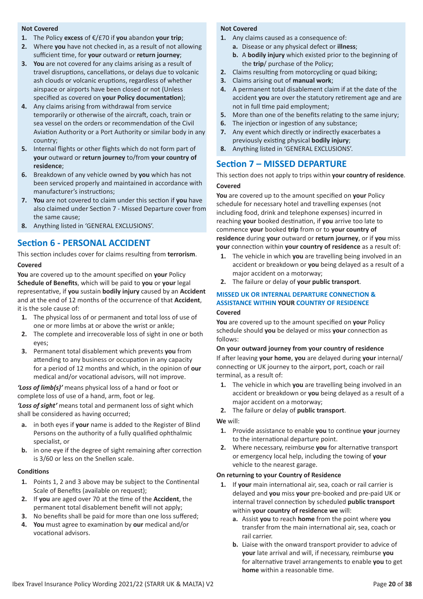#### **Not Covered**

- **1.** The Policy **excess** of €/£70 if **you** abandon **your trip**;
- **2.** Where **you** have not checked in, as a result of not allowing sufficient time, for **your** outward or **return journey**;
- **3. You** are not covered for any claims arising as a result of travel disruptions, cancellations, or delays due to volcanic ash clouds or volcanic eruptions, regardless of whether airspace or airports have been closed or not (Unless specified as covered on **your Policy documentation**);
- **4.** Any claims arising from withdrawal from service temporarily or otherwise of the aircraft, coach, train or sea vessel on the orders or recommendation of the Civil Aviation Authority or a Port Authority or similar body in any country;
- **5.** Internal flights or other flights which do not form part of **your** outward or **return journey** to/from **your country of residence**;
- **6.** Breakdown of any vehicle owned by **you** which has not been serviced properly and maintained in accordance with manufacturer's instructions;
- **7. You** are not covered to claim under this section if **you** have also claimed under Section 7 - Missed Departure cover from the same cause;
- **8.** Anything listed in 'GENERAL EXCLUSIONS'.

### **Section 6 - PERSONAL ACCIDENT**

This section includes cover for claims resulting from **terrorism**. **Covered**

**You** are covered up to the amount specified on **your** Policy **Schedule of Benefits**, which will be paid to **you** or **your** legal representative, if **you** sustain **bodily injury** caused by an **Accident** and at the end of 12 months of the occurrence of that **Accident**, it is the sole cause of:

- **1.** The physical loss of or permanent and total loss of use of one or more limbs at or above the wrist or ankle;
- **2.** The complete and irrecoverable loss of sight in one or both eyes;
- **3.** Permanent total disablement which prevents **you** from attending to any business or occupation in any capacity for a period of 12 months and which, in the opinion of **our** medical and/or vocational advisors, will not improve.

*'Loss of limb(s)'* means physical loss of a hand or foot or complete loss of use of a hand, arm, foot or leg.

*'Loss of sight'* means total and permanent loss of sight which shall be considered as having occurred;

- **a.** in both eyes if **your** name is added to the Register of Blind Persons on the authority of a fully qualified ophthalmic specialist, or
- **b.** in one eye if the degree of sight remaining after correction is 3/60 or less on the Snellen scale.

#### **Conditions**

- **1.** Points 1, 2 and 3 above may be subject to the Continental Scale of Benefits (available on request);
- **2.** If **you** are aged over 70 at the time of the **Accident**, the permanent total disablement benefit will not apply;
- **3.** No benefits shall be paid for more than one loss suffered;
- **4. You** must agree to examination by **our** medical and/or vocational advisors.

#### **Not Covered**

- **1.** Any claims caused as a consequence of:
	- **a.** Disease or any physical defect or **illness**;
		- **b.** A **bodily injury** which existed prior to the beginning of the **trip**/ purchase of the Policy;
- **2.** Claims resulting from motorcycling or quad biking;
- **3.** Claims arising out of **manual work**;
- **4.** A permanent total disablement claim if at the date of the accident **you** are over the statutory retirement age and are not in full time paid employment;
- **5.** More than one of the benefits relating to the same injury;
- **6.** The injection or ingestion of any substance;
- **7.** Any event which directly or indirectly exacerbates a previously existing physical **bodily injury**;
- **8.** Anything listed in 'GENERAL EXCLUSIONS'.

### **Section 7 – MISSED DEPARTURE**

This section does not apply to trips within **your country of residence**. **Covered**

**You** are covered up to the amount specified on **your** Policy schedule for necessary hotel and travelling expenses (not including food, drink and telephone expenses) incurred in reaching **your** booked destination, if **you** arrive too late to commence **your** booked **trip** from or to **your country of residence** during **your** outward or **return journey**, or if **you** miss **your** connection within **your country of residence** as a result of:

- **1.** The vehicle in which **you** are travelling being involved in an accident or breakdown or **you** being delayed as a result of a major accident on a motorway;
- **2.** The failure or delay of **your public transport**.

### **MISSED UK OR INTERNAL DEPARTURE CONNECTION & ASSISTANCE WITHIN YOUR COUNTRY OF RESIDENCE**

#### **Covered**

**You** are covered up to the amount specified on **your** Policy schedule should **you** be delayed or miss **your** connection as follows:

#### **On your outward journey from your country of residence**

If after leaving **your home**, **you** are delayed during **your** internal/ connecting or UK journey to the airport, port, coach or rail terminal, as a result of:

- **1.** The vehicle in which **you** are travelling being involved in an accident or breakdown or **you** being delayed as a result of a major accident on a motorway;
- **2.** The failure or delay of **public transport**.

#### **We** will:

- **1.** Provide assistance to enable **you** to continue **your** journey to the international departure point.
- **2.** Where necessary, reimburse **you** for alternative transport or emergency local help, including the towing of **your** vehicle to the nearest garage.

#### **On returning to your Country of Residence**

- **1.** If **your** main international air, sea, coach or rail carrier is delayed and **you** miss **your** pre-booked and pre-paid UK or internal travel connection by scheduled **public transport** within **your country of residence we** will:
	- **a.** Assist **you** to reach **home** from the point where **you** transfer from the main international air, sea, coach or rail carrier.
	- **b.** Liaise with the onward transport provider to advice of **your** late arrival and will, if necessary, reimburse **you** for alternative travel arrangements to enable **you** to get **home** within a reasonable time.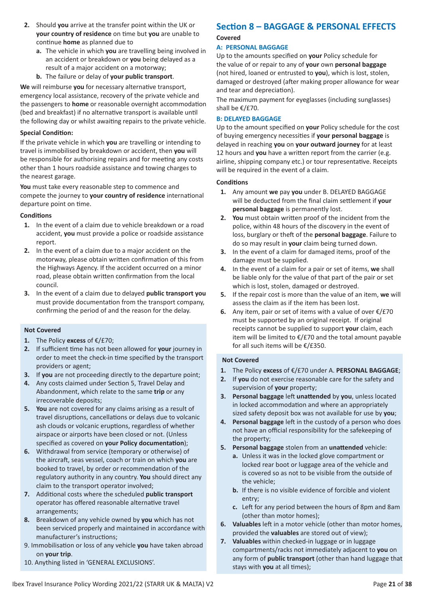- **2.** Should **you** arrive at the transfer point within the UK or **your country of residence** on time but **you** are unable to continue **home** as planned due to
	- **a.** The vehicle in which **you** are travelling being involved in an accident or breakdown or **you** being delayed as a result of a major accident on a motorway;
	- **b.** The failure or delay of **your public transport**.

**We** will reimburse **you** for necessary alternative transport, emergency local assistance, recovery of the private vehicle and the passengers to **home** or reasonable overnight accommodation (bed and breakfast) if no alternative transport is available until the following day or whilst awaiting repairs to the private vehicle.

#### **Special Condition:**

If the private vehicle in which **you** are travelling or intending to travel is immobilised by breakdown or accident, then **you** will be responsible for authorising repairs and for meeting any costs other than 1 hours roadside assistance and towing charges to the nearest garage.

**You** must take every reasonable step to commence and compete the journey to **your country of residence** international departure point on time.

#### **Conditions**

- **1.** In the event of a claim due to vehicle breakdown or a road accident, **you** must provide a police or roadside assistance report.
- **2.** In the event of a claim due to a major accident on the motorway, please obtain written confirmation of this from the Highways Agency. If the accident occurred on a minor road, please obtain written confirmation from the local council.
- **3.** In the event of a claim due to delayed **public transport you** must provide documentation from the transport company, confirming the period of and the reason for the delay.

#### **Not Covered**

- **1.** The Policy **excess** of €/£70;
- **2.** If sufficient time has not been allowed for **your** journey in order to meet the check-in time specified by the transport providers or agent;
- **3.** If **you** are not proceeding directly to the departure point;
- **4.** Any costs claimed under Section 5, Travel Delay and Abandonment, which relate to the same **trip** or any irrecoverable deposits;
- **5. You** are not covered for any claims arising as a result of travel disruptions, cancellations or delays due to volcanic ash clouds or volcanic eruptions, regardless of whether airspace or airports have been closed or not. (Unless specified as covered on **your Policy documentation**);
- **6.** Withdrawal from service (temporary or otherwise) of the aircraft, seas vessel, coach or train on which **you** are booked to travel, by order or recommendation of the regulatory authority in any country. **You** should direct any claim to the transport operator involved;
- **7.** Additional costs where the scheduled **public transport** operator has offered reasonable alternative travel arrangements;
- **8.** Breakdown of any vehicle owned by **you** which has not been serviced properly and maintained in accordance with manufacturer's instructions;
- 9. Immobilisation or loss of any vehicle **you** have taken abroad on **your trip**.
- 10. Anything listed in 'GENERAL EXCLUSIONS'.

### **Section 8 – BAGGAGE & PERSONAL EFFECTS**

### **Covered**

#### **A: PERSONAL BAGGAGE**

Up to the amounts specified on **your** Policy schedule for the value of or repair to any of **your** own **personal baggage** (not hired, loaned or entrusted to **you**), which is lost, stolen, damaged or destroyed (after making proper allowance for wear and tear and depreciation).

The maximum payment for eyeglasses (including sunglasses) shall be €/£70.

#### **B: DELAYED BAGGAGE**

Up to the amount specified on **your** Policy schedule for the cost of buying emergency necessities if **your personal baggage** is delayed in reaching **you** on **your outward journey** for at least 12 hours and **you** have a written report from the carrier (e.g. airline, shipping company etc.) or tour representative. Receipts will be required in the event of a claim.

#### **Conditions**

- **1.** Any amount **we** pay **you** under B. DELAYED BAGGAGE will be deducted from the final claim settlement if **your personal baggage** is permanently lost.
- **2. You** must obtain written proof of the incident from the police, within 48 hours of the discovery in the event of loss, burglary or theft of the **personal baggage**. Failure to do so may result in **your** claim being turned down.
- **3.** In the event of a claim for damaged items, proof of the damage must be supplied.
- **4.** In the event of a claim for a pair or set of items, **we** shall be liable only for the value of that part of the pair or set which is lost, stolen, damaged or destroyed.
- **5.** If the repair cost is more than the value of an item, **we** will assess the claim as if the item has been lost.
- **6.** Any item, pair or set of items with a value of over €/£70 must be supported by an original receipt. If original receipts cannot be supplied to support **your** claim, each item will be limited to €/£70 and the total amount payable for all such items will be €/£350.

- **1.** The Policy **excess** of €/£70 under A. **PERSONAL BAGGAGE**;
- **2.** If **you** do not exercise reasonable care for the safety and supervision of **your** property;
- **3. Personal baggage** left **unattended** by **you**, unless located in locked accommodation and where an appropriately sized safety deposit box was not available for use by **you**;
- **4. Personal baggage** left in the custody of a person who does not have an official responsibility for the safekeeping of the property;
- **5. Personal baggage** stolen from an **unattended** vehicle:
	- **a.** Unless it was in the locked glove compartment or locked rear boot or luggage area of the vehicle and is covered so as not to be visible from the outside of the vehicle;
	- **b.** If there is no visible evidence of forcible and violent entry;
	- **c.** Left for any period between the hours of 8pm and 8am (other than motor homes);
- **6. Valuables** left in a motor vehicle (other than motor homes, provided the **valuables** are stored out of view);
- **7. Valuables** within checked-in luggage or in luggage compartments/racks not immediately adjacent to **you** on any form of **public transport** (other than hand luggage that stays with **you** at all times);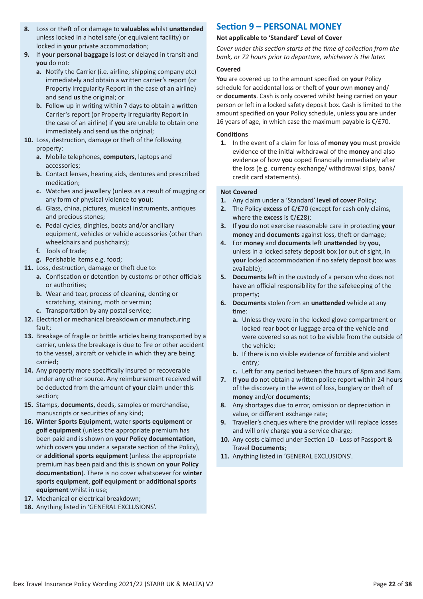- **8.** Loss or theft of or damage to **valuables** whilst **unattended** unless locked in a hotel safe (or equivalent facility) or locked in **your** private accommodation;
- **9.** If **your personal baggage** is lost or delayed in transit and **you** do not:
	- **a.** Notify the Carrier (i.e. airline, shipping company etc) immediately and obtain a written carrier's report (or Property Irregularity Report in the case of an airline) and send **us** the original; or
	- **b.** Follow up in writing within 7 days to obtain a written Carrier's report (or Property Irregularity Report in the case of an airline) if **you** are unable to obtain one immediately and send **us** the original;
- **10.** Loss, destruction, damage or theft of the following property:
	- **a.** Mobile telephones, **computers**, laptops and accessories;
	- **b.** Contact lenses, hearing aids, dentures and prescribed medication;
	- **c.** Watches and jewellery (unless as a result of mugging or any form of physical violence to **you**);
	- **d.** Glass, china, pictures, musical instruments, antiques and precious stones;
	- **e.** Pedal cycles, dinghies, boats and/or ancillary equipment, vehicles or vehicle accessories (other than wheelchairs and pushchairs);
	- **f.** Tools of trade;
	- **g.** Perishable items e.g. food;
- **11.** Loss, destruction, damage or theft due to:
	- **a.** Confiscation or detention by customs or other officials or authorities;
	- **b.** Wear and tear, process of cleaning, denting or scratching, staining, moth or vermin;
	- **c.** Transportation by any postal service;
- **12.** Electrical or mechanical breakdown or manufacturing fault;
- **13.** Breakage of fragile or brittle articles being transported by a carrier, unless the breakage is due to fire or other accident to the vessel, aircraft or vehicle in which they are being carried;
- **14.** Any property more specifically insured or recoverable under any other source. Any reimbursement received will be deducted from the amount of **your** claim under this section;
- **15.** Stamps, **documents**, deeds, samples or merchandise, manuscripts or securities of any kind;
- **16. Winter Sports Equipment**, water **sports equipment** or **golf equipment** (unless the appropriate premium has been paid and is shown on **your Policy documentation**, which covers **you** under a separate section of the Policy), or **additional sports equipment** (unless the appropriate premium has been paid and this is shown on **your Policy documentation**). There is no cover whatsoever for **winter sports equipment**, **golf equipment** or **additional sports equipment** whilst in use;
- **17.** Mechanical or electrical breakdown;
- **18.** Anything listed in 'GENERAL EXCLUSIONS'.

### **Section 9 – PERSONAL MONEY**

#### **Not applicable to 'Standard' Level of Cover**

*Cover under this section starts at the time of collection from the bank, or 72 hours prior to departure, whichever is the later.*

#### **Covered**

**You** are covered up to the amount specified on **your** Policy schedule for accidental loss or theft of **your** own **money** and/ or **documents**. Cash is only covered whilst being carried on **your** person or left in a locked safety deposit box. Cash is limited to the amount specified on **your** Policy schedule, unless **you** are under 16 years of age, in which case the maximum payable is  $€/£70$ .

#### **Conditions**

**1.** In the event of a claim for loss of **money you** must provide evidence of the initial withdrawal of the **money** and also evidence of how **you** coped financially immediately after the loss (e.g. currency exchange/ withdrawal slips, bank/ credit card statements).

- **1.** Any claim under a 'Standard' **level of cover** Policy;
- **2.** The Policy **excess** of €/£70 (except for cash only claims, where the **excess** is €/£28);
- **3.** If **you** do not exercise reasonable care in protecting **your money** and **documents** against loss, theft or damage;
- **4.** For **money** and **documents** left **unattended** by **you**, unless in a locked safety deposit box (or out of sight, in **your** locked accommodation if no safety deposit box was available);
- **5. Documents** left in the custody of a person who does not have an official responsibility for the safekeeping of the property;
- **6. Documents** stolen from an **unattended** vehicle at any time:
	- **a.** Unless they were in the locked glove compartment or locked rear boot or luggage area of the vehicle and were covered so as not to be visible from the outside of the vehicle;
	- **b.** If there is no visible evidence of forcible and violent entry;
	- **c.** Left for any period between the hours of 8pm and 8am.
- **7.** If **you** do not obtain a written police report within 24 hours of the discovery in the event of loss, burglary or theft of **money** and/or **documents**;
- **8.** Any shortages due to error, omission or depreciation in value, or different exchange rate;
- **9.** Traveller's cheques where the provider will replace losses and will only charge **you** a service charge;
- **10.** Any costs claimed under Section 10 Loss of Passport & Travel **Documents**;
- **11.** Anything listed in 'GENERAL EXCLUSIONS'.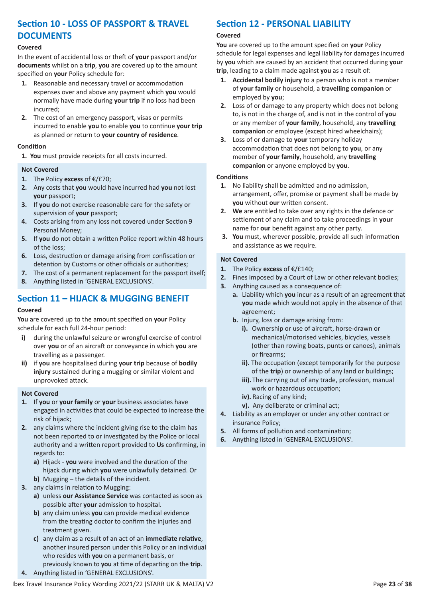### **Section 10 - LOSS OF PASSPORT & TRAVEL DOCUMENTS**

#### **Covered**

In the event of accidental loss or theft of **your** passport and/or **documents** whilst on a **trip**, **you** are covered up to the amount specified on **your** Policy schedule for:

- **1.** Reasonable and necessary travel or accommodation expenses over and above any payment which **you** would normally have made during **your trip** if no loss had been incurred;
- **2.** The cost of an emergency passport, visas or permits incurred to enable **you** to enable **you** to continue **your trip** as planned or return to **your country of residence**.

#### **Condition**

**1. You** must provide receipts for all costs incurred.

#### **Not Covered**

- **1.** The Policy **excess** of €/£70;
- **2.** Any costs that **you** would have incurred had **you** not lost **your** passport;
- **3.** If **you** do not exercise reasonable care for the safety or supervision of **your** passport;
- **4.** Costs arising from any loss not covered under Section 9 Personal Money;
- **5.** If **you** do not obtain a written Police report within 48 hours of the loss;
- **6.** Loss, destruction or damage arising from confiscation or detention by Customs or other officials or authorities;
- **7.** The cost of a permanent replacement for the passport itself;
- **8.** Anything listed in 'GENERAL EXCLUSIONS'.

### **Section 11 – HIJACK & MUGGING BENEFIT**

#### **Covered**

**You** are covered up to the amount specified on **your** Policy schedule for each full 24-hour period:

- **i)** during the unlawful seizure or wrongful exercise of control over **you** or of an aircraft or conveyance in which **you** are travelling as a passenger.
- **ii)** if **you** are hospitalised during **your trip** because of **bodily injury** sustained during a mugging or similar violent and unprovoked attack.

#### **Not Covered**

- **1.** If **you** or **your family** or **your** business associates have engaged in activities that could be expected to increase the risk of hijack;
- **2.** any claims where the incident giving rise to the claim has not been reported to or investigated by the Police or local authority and a written report provided to **Us** confirming, in regards to:
	- **a)** Hijack **you** were involved and the duration of the hijack during which **you** were unlawfully detained. Or
	- **b)** Mugging the details of the incident.
- **3.** any claims in relation to Mugging:
	- **a)** unless **our Assistance Service** was contacted as soon as possible after **your** admission to hospital.
	- **b)** any claim unless **you** can provide medical evidence from the treating doctor to confirm the injuries and treatment given.
	- **c)** any claim as a result of an act of an **immediate relative**, another insured person under this Policy or an individual who resides with **you** on a permanent basis, or
	- previously known to **you** at time of departing on the **trip**.
- **4.** Anything listed in 'GENERAL EXCLUSIONS'.

### **Section 12 - PERSONAL LIABILITY**

#### **Covered**

**You** are covered up to the amount specified on **your** Policy schedule for legal expenses and legal liability for damages incurred by **you** which are caused by an accident that occurred during **your trip**, leading to a claim made against **you** as a result of:

- **1. Accidental bodily injury** to a person who is not a member of **your family** or household, a **travelling companion** or employed by **you**;
- **2.** Loss of or damage to any property which does not belong to, is not in the charge of, and is not in the control of **you** or any member of **your family**, household, any **travelling companion** or employee (except hired wheelchairs);
- **3.** Loss of or damage to **your** temporary holiday accommodation that does not belong to **you**, or any member of **your family**, household, any **travelling companion** or anyone employed by **you**.

#### **Conditions**

- **1.** No liability shall be admitted and no admission, arrangement, offer, promise or payment shall be made by **you** without **our** written consent.
- **2. We** are entitled to take over any rights in the defence or settlement of any claim and to take proceedings in **your** name for **our** benefit against any other party.
- **3. You** must, wherever possible, provide all such information and assistance as **we** require.

- **1.** The Policy **excess** of €/£140;
- **2.** Fines imposed by a Court of Law or other relevant bodies;
- **3.** Anything caused as a consequence of:
	- **a.** Liability which **you** incur as a result of an agreement that **you** made which would not apply in the absence of that agreement;
	- **b.** Injury, loss or damage arising from:
		- **i).** Ownership or use of aircraft, horse-drawn or mechanical/motorised vehicles, bicycles, vessels (other than rowing boats, punts or canoes), animals or firearms;
		- **ii).** The occupation (except temporarily for the purpose of the **trip**) or ownership of any land or buildings;
		- **iii).** The carrying out of any trade, profession, manual work or hazardous occupation;
		- **iv).** Racing of any kind;
		- **v).** Any deliberate or criminal act;
- **4.** Liability as an employer or under any other contract or insurance Policy;
- **5.** All forms of pollution and contamination;
- **6.** Anything listed in 'GENERAL EXCLUSIONS'.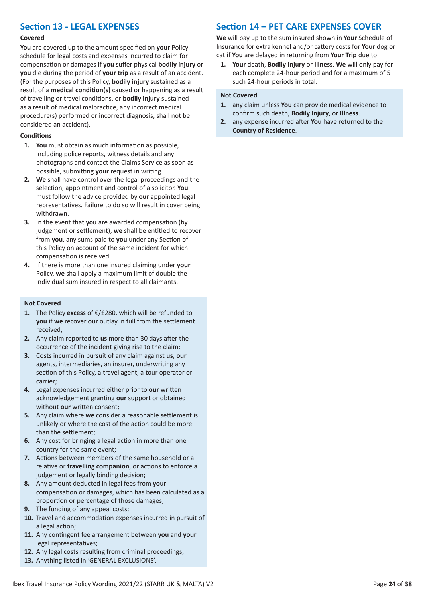### **Section 13 - LEGAL EXPENSES**

#### **Covered**

**You** are covered up to the amount specified on **your** Policy schedule for legal costs and expenses incurred to claim for compensation or damages if **you** suffer physical **bodily injury** or **you** die during the period of **your trip** as a result of an accident. (For the purposes of this Policy, **bodily injury** sustained as a result of a **medical condition(s)** caused or happening as a result of travelling or travel conditions, or **bodily injury** sustained as a result of medical malpractice, any incorrect medical procedure(s) performed or incorrect diagnosis, shall not be considered an accident).

#### **Conditions**

- **1. You** must obtain as much information as possible, including police reports, witness details and any photographs and contact the Claims Service as soon as possible, submitting **your** request in writing.
- **2. We** shall have control over the legal proceedings and the selection, appointment and control of a solicitor. **You** must follow the advice provided by **our** appointed legal representatives. Failure to do so will result in cover being withdrawn.
- **3.** In the event that **you** are awarded compensation (by judgement or settlement), **we** shall be entitled to recover from **you**, any sums paid to **you** under any Section of this Policy on account of the same incident for which compensation is received.
- **4.** If there is more than one insured claiming under **your** Policy, **we** shall apply a maximum limit of double the individual sum insured in respect to all claimants.

#### **Not Covered**

- **1.** The Policy **excess** of €/£280, which will be refunded to **you** if **we** recover **our** outlay in full from the settlement received;
- **2.** Any claim reported to **us** more than 30 days after the occurrence of the incident giving rise to the claim;
- **3.** Costs incurred in pursuit of any claim against **us**, **our** agents, intermediaries, an insurer, underwriting any section of this Policy, a travel agent, a tour operator or carrier;
- **4.** Legal expenses incurred either prior to **our** written acknowledgement granting **our** support or obtained without **our** written consent;
- **5.** Any claim where **we** consider a reasonable settlement is unlikely or where the cost of the action could be more than the settlement;
- **6.** Any cost for bringing a legal action in more than one country for the same event;
- **7.** Actions between members of the same household or a relative or **travelling companion**, or actions to enforce a judgement or legally binding decision;
- **8.** Any amount deducted in legal fees from **your** compensation or damages, which has been calculated as a proportion or percentage of those damages;
- **9.** The funding of any appeal costs;
- **10.** Travel and accommodation expenses incurred in pursuit of a legal action;
- **11.** Any contingent fee arrangement between **you** and **your** legal representatives;
- **12.** Any legal costs resulting from criminal proceedings;
- **13.** Anything listed in 'GENERAL EXCLUSIONS'.

### **Section 14 – PET CARE EXPENSES COVER**

**We** will pay up to the sum insured shown in **Your** Schedule of Insurance for extra kennel and/or cattery costs for **Your** dog or cat if **You** are delayed in returning from **Your Trip** due to:

**1. Your** death, **Bodily Injury** or **Illness**. **We** will only pay for each complete 24-hour period and for a maximum of 5 such 24-hour periods in total.

- **1.** any claim unless **You** can provide medical evidence to confirm such death, **Bodily Injury**, or **Illness**.
- **2.** any expense incurred after **You** have returned to the **Country of Residence**.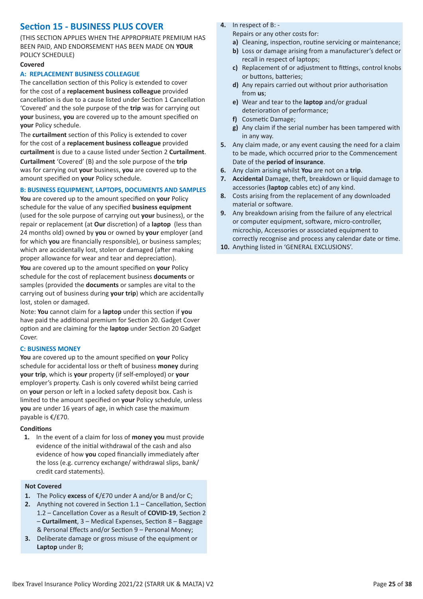### **Section 15 - BUSINESS PLUS COVER**

(THIS SECTION APPLIES WHEN THE APPROPRIATE PREMIUM HAS BEEN PAID, AND ENDORSEMENT HAS BEEN MADE ON **YOUR** POLICY SCHEDULE)

#### **Covered**

#### **A: REPLACEMENT BUSINESS COLLEAGUE**

The cancellation section of this Policy is extended to cover for the cost of a **replacement business colleague** provided cancellation is due to a cause listed under Section 1 Cancellation 'Covered' and the sole purpose of the **trip** was for carrying out **your** business, **you** are covered up to the amount specified on **your** Policy schedule.

The **curtailment** section of this Policy is extended to cover for the cost of a **replacement business colleague** provided **curtailment** is due to a cause listed under Section 2 **Curtailment**. **Curtailment** 'Covered' (B) and the sole purpose of the **trip** was for carrying out **your** business, **you** are covered up to the amount specified on **your** Policy schedule.

#### **B: BUSINESS EQUIPMENT, LAPTOPS, DOCUMENTS AND SAMPLES**

**You** are covered up to the amount specified on **your** Policy schedule for the value of any specified **business equipment** (used for the sole purpose of carrying out **your** business), or the repair or replacement (at **Our** discretion) of a **laptop** (less than 24 months old) owned by **you** or owned by **your** employer (and for which **you** are financially responsible), or business samples; which are accidentally lost, stolen or damaged (after making proper allowance for wear and tear and depreciation).

**You** are covered up to the amount specified on **your** Policy schedule for the cost of replacement business **documents** or samples (provided the **documents** or samples are vital to the carrying out of business during **your trip**) which are accidentally lost, stolen or damaged.

Note: **You** cannot claim for a **laptop** under this section if **you** have paid the additional premium for Section 20. Gadget Cover option and are claiming for the **laptop** under Section 20 Gadget Cover.

#### **C: BUSINESS MONEY**

**You** are covered up to the amount specified on **your** Policy schedule for accidental loss or theft of business **money** during **your trip**, which is **your** property (if self-employed) or **your** employer's property. Cash is only covered whilst being carried on **your** person or left in a locked safety deposit box. Cash is limited to the amount specified on **your** Policy schedule, unless **you** are under 16 years of age, in which case the maximum payable is €/£70.

#### **Conditions**

**1.** In the event of a claim for loss of **money you** must provide evidence of the initial withdrawal of the cash and also evidence of how **you** coped financially immediately after the loss (e.g. currency exchange/ withdrawal slips, bank/ credit card statements).

#### **Not Covered**

- **1.** The Policy **excess** of €/£70 under A and/or B and/or C;
- **2.** Anything not covered in Section 1.1 Cancellation, Section 1.2 – Cancellation Cover as a Result of **COVID-19**, Section 2 – **Curtailment**, 3 – Medical Expenses, Section 8 – Baggage & Personal Effects and/or Section 9 – Personal Money;
- **3.** Deliberate damage or gross misuse of the equipment or **Laptop** under B;

**4.** In respect of B: -

Repairs or any other costs for:

- **a)** Cleaning, inspection, routine servicing or maintenance;
- **b)** Loss or damage arising from a manufacturer's defect or recall in respect of laptops;
- **c)** Replacement of or adjustment to fittings, control knobs or buttons, batteries;
- **d)** Any repairs carried out without prior authorisation from **us**;
- **e)** Wear and tear to the **laptop** and/or gradual deterioration of performance;
- **f)** Cosmetic Damage;
- **g)** Any claim if the serial number has been tampered with in any way.
- **5.** Any claim made, or any event causing the need for a claim to be made, which occurred prior to the Commencement Date of the **period of insurance**.
- **6.** Any claim arising whilst **You** are not on a **trip**.
- **7. Accidental** Damage, theft, breakdown or liquid damage to accessories (**laptop** cables etc) of any kind.
- **8.** Costs arising from the replacement of any downloaded material or software.
- **9.** Any breakdown arising from the failure of any electrical or computer equipment, software, micro-controller, microchip, Accessories or associated equipment to correctly recognise and process any calendar date or time.
- **10.** Anything listed in 'GENERAL EXCLUSIONS'.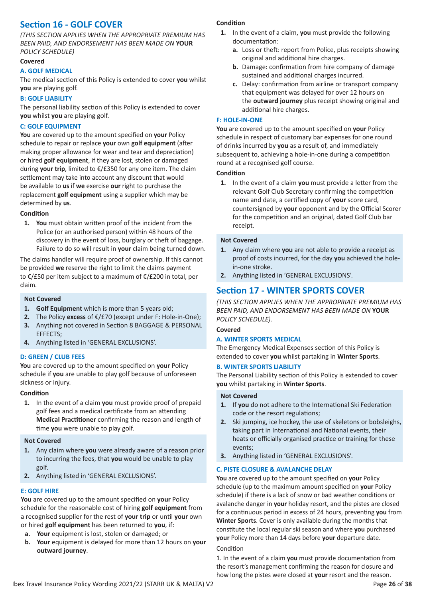### **Section 16 - GOLF COVER**

*(THIS SECTION APPLIES WHEN THE APPROPRIATE PREMIUM HAS BEEN PAID, AND ENDORSEMENT HAS BEEN MADE ON* **YOUR** *POLICY SCHEDULE)*

#### **Covered**

#### **A. GOLF MEDICAL**

The medical section of this Policy is extended to cover **you** whilst **you** are playing golf.

#### **B: GOLF LIABILITY**

The personal liability section of this Policy is extended to cover **you** whilst **you** are playing golf.

#### **C: GOLF EQUIPMENT**

**You** are covered up to the amount specified on **your** Policy schedule to repair or replace **your** own **golf equipment** (after making proper allowance for wear and tear and depreciation) or hired **golf equipment**, if they are lost, stolen or damaged during **your trip**, limited to €/£350 for any one item. The claim settlement may take into account any discount that would be available to **us** if **we** exercise **our** right to purchase the replacement **golf equipment** using a supplier which may be determined by **us**.

#### **Condition**

**1. You** must obtain written proof of the incident from the Police (or an authorised person) within 48 hours of the discovery in the event of loss, burglary or theft of baggage. Failure to do so will result in **your** claim being turned down.

The claims handler will require proof of ownership. If this cannot be provided **we** reserve the right to limit the claims payment to €/£50 per item subject to a maximum of €/£200 in total, per claim.

#### **Not Covered**

- **1. Golf Equipment** which is more than 5 years old;
- **2.** The Policy **excess** of €/£70 (except under F: Hole-in-One); **3.** Anything not covered in Section 8 BAGGAGE & PERSONAL EFFECTS;
- **4.** Anything listed in 'GENERAL EXCLUSIONS'.

#### **D: GREEN / CLUB FEES**

**You** are covered up to the amount specified on **your** Policy schedule if **you** are unable to play golf because of unforeseen sickness or injury.

#### **Condition**

**1.** In the event of a claim **you** must provide proof of prepaid golf fees and a medical certificate from an attending **Medical Practitioner** confirming the reason and length of time **you** were unable to play golf.

#### **Not Covered**

- **1.** Any claim where **you** were already aware of a reason prior to incurring the fees, that **you** would be unable to play golf.
- **2.** Anything listed in 'GENERAL EXCLUSIONS'.

#### **E: GOLF HIRE**

**You** are covered up to the amount specified on **your** Policy schedule for the reasonable cost of hiring **golf equipment** from a recognised supplier for the rest of **your trip** or until **your** own or hired **golf equipment** has been returned to **you**, if:

- **a. Your** equipment is lost, stolen or damaged; or
- **b. Your** equipment is delayed for more than 12 hours on **your outward journey**.

#### **Condition**

- **1.** In the event of a claim, **you** must provide the following documentation:
	- **a.** Loss or theft: report from Police, plus receipts showing original and additional hire charges.
	- **b.** Damage: confirmation from hire company of damage sustained and additional charges incurred.
	- **c.** Delay: confirmation from airline or transport company that equipment was delayed for over 12 hours on the **outward journey** plus receipt showing original and additional hire charges.

#### **F: HOLE-IN-ONE**

**You** are covered up to the amount specified on **your** Policy schedule in respect of customary bar expenses for one round of drinks incurred by **you** as a result of, and immediately subsequent to, achieving a hole-in-one during a competition round at a recognised golf course.

#### **Condition**

**1.** In the event of a claim **you** must provide a letter from the relevant Golf Club Secretary confirming the competition name and date, a certified copy of **your** score card, countersigned by **your** opponent and by the Official Scorer for the competition and an original, dated Golf Club bar receipt.

#### **Not Covered**

- **1.** Any claim where **you** are not able to provide a receipt as proof of costs incurred, for the day **you** achieved the holein-one stroke.
- **2.** Anything listed in 'GENERAL EXCLUSIONS'.

### **Section 17 - WINTER SPORTS COVER**

*(THIS SECTION APPLIES WHEN THE APPROPRIATE PREMIUM HAS BEEN PAID, AND ENDORSEMENT HAS BEEN MADE ON* **YOUR** *POLICY SCHEDULE).*

#### **Covered**

#### **A. WINTER SPORTS MEDICAL**

The Emergency Medical Expenses section of this Policy is extended to cover **you** whilst partaking in **Winter Sports**.

#### **B. WINTER SPORTS LIABILITY**

The Personal Liability section of this Policy is extended to cover **you** whilst partaking in **Winter Sports**.

#### **Not Covered**

- **1.** If **you** do not adhere to the International Ski Federation code or the resort regulations;
- **2.** Ski jumping, ice hockey, the use of skeletons or bobsleighs, taking part in International and National events, their heats or officially organised practice or training for these events;
- **3.** Anything listed in 'GENERAL EXCLUSIONS'.

#### **C. PISTE CLOSURE & AVALANCHE DELAY**

**You** are covered up to the amount specified on **your** Policy schedule (up to the maximum amount specified on **your** Policy schedule) if there is a lack of snow or bad weather conditions or avalanche danger in **your** holiday resort, and the pistes are closed for a continuous period in excess of 24 hours, preventing **you** from **Winter Sports**. Cover is only available during the months that constitute the local regular ski season and where **you** purchased **your** Policy more than 14 days before **your** departure date.

Condition

1. In the event of a claim **you** must provide documentation from the resort's management confirming the reason for closure and how long the pistes were closed at **your** resort and the reason.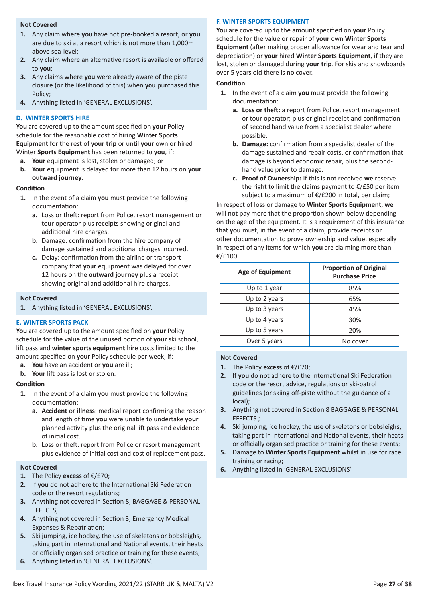#### **Not Covered**

- **1.** Any claim where **you** have not pre-booked a resort, or **you** are due to ski at a resort which is not more than 1,000m above sea-level;
- **2.** Any claim where an alternative resort is available or offered to **you**;
- **3.** Any claims where **you** were already aware of the piste closure (or the likelihood of this) when **you** purchased this Policy;
- **4.** Anything listed in 'GENERAL EXCLUSIONS'.

#### **D. WINTER SPORTS HIRE**

**You** are covered up to the amount specified on **your** Policy schedule for the reasonable cost of hiring **Winter Sports Equipment** for the rest of **your trip** or until **your** own or hired Winter **Sports Equipment** has been returned to **you**, if:

- **a. Your** equipment is lost, stolen or damaged; or
- **b. Your** equipment is delayed for more than 12 hours on **your outward journey**.

#### **Condition**

- **1.** In the event of a claim **you** must provide the following documentation:
	- **a.** Loss or theft: report from Police, resort management or tour operator plus receipts showing original and additional hire charges.
	- **b.** Damage: confirmation from the hire company of damage sustained and additional charges incurred.
	- **c.** Delay: confirmation from the airline or transport company that **your** equipment was delayed for over 12 hours on the **outward journey** plus a receipt showing original and additional hire charges.

#### **.Not Covered**

**1.** Anything listed in 'GENERAL EXCLUSIONS'.

#### **E. WINTER SPORTS PACK**

**You** are covered up to the amount specified on **your** Policy schedule for the value of the unused portion of **your** ski school, lift pass and **winter sports equipment** hire costs limited to the amount specified on **your** Policy schedule per week, if:

- **a. You** have an accident or **you** are ill;
- **b. Your** lift pass is lost or stolen.

#### **Condition**

- **1.** In the event of a claim **you** must provide the following documentation:
	- **a. Accident** or **illness**: medical report confirming the reason and length of time **you** were unable to undertake **your** planned activity plus the original lift pass and evidence of initial cost.
	- **b.** Loss or theft: report from Police or resort management plus evidence of initial cost and cost of replacement pass.

#### **Not Covered**

- **1.** The Policy **excess** of €/£70;
- **2.** If **you** do not adhere to the International Ski Federation code or the resort regulations;
- **3.** Anything not covered in Section 8, BAGGAGE & PERSONAL EFFECTS;
- **4.** Anything not covered in Section 3, Emergency Medical Expenses & Repatriation;
- **5.** Ski jumping, ice hockey, the use of skeletons or bobsleighs, taking part in International and National events, their heats or officially organised practice or training for these events;
- **6.** Anything listed in 'GENERAL EXCLUSIONS'.

### **F. WINTER SPORTS EQUIPMENT**

**You** are covered up to the amount specified on **your** Policy schedule for the value or repair of **your** own **Winter Sports Equipment** (after making proper allowance for wear and tear and depreciation) or **your** hired **Winter Sports Equipment**, if they are lost, stolen or damaged during **your trip**. For skis and snowboards over 5 years old there is no cover.

#### **Condition**

- **1.** In the event of a claim **you** must provide the following documentation:
	- **a. Loss or theft:** a report from Police, resort management or tour operator; plus original receipt and confirmation of second hand value from a specialist dealer where possible.
	- **b. Damage:** confirmation from a specialist dealer of the damage sustained and repair costs, or confirmation that damage is beyond economic repair, plus the second hand value prior to damage.
	- **c. Proof of Ownership:** If this is not received **we** reserve the right to limit the claims payment to  $\epsilon$ /£50 per item subject to a maximum of €/£200 in total, per claim;

In respect of loss or damage to **Winter Sports Equipment**, **we** will not pay more that the proportion shown below depending on the age of the equipment. It is a requirement of this insurance that **you** must, in the event of a claim, provide receipts or other documentation to prove ownership and value, especially in respect of any items for which **you** are claiming more than €/£100.

| <b>Age of Equipment</b> | <b>Proportion of Original</b><br><b>Purchase Price</b> |
|-------------------------|--------------------------------------------------------|
| Up to 1 year            | 85%                                                    |
| Up to 2 years           | 65%                                                    |
| Up to 3 years           | 45%                                                    |
| Up to 4 years           | 30%                                                    |
| Up to 5 years           | 20%                                                    |
| Over 5 years            | No cover                                               |

- **1.** The Policy **excess** of €/£70;
- **2.** If **you** do not adhere to the International Ski Federation code or the resort advice, regulations or ski-patrol guidelines (or skiing off-piste without the guidance of a local);
- **3.** Anything not covered in Section 8 BAGGAGE & PERSONAL EFFECTS ;
- **4.** Ski jumping, ice hockey, the use of skeletons or bobsleighs, taking part in International and National events, their heats or officially organised practice or training for these events;
- **5.** Damage to **Winter Sports Equipment** whilst in use for race training or racing;
- **6.** Anything listed in 'GENERAL EXCLUSIONS'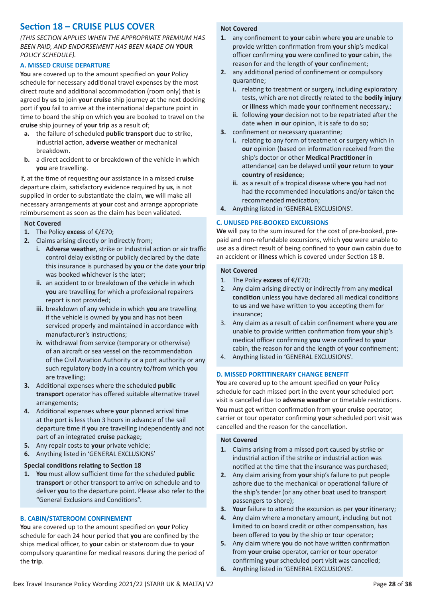### **Section 18 – CRUISE PLUS COVER**

*(THIS SECTION APPLIES WHEN THE APPROPRIATE PREMIUM HAS BEEN PAID, AND ENDORSEMENT HAS BEEN MADE ON* **YOUR** *POLICY SCHEDULE).*

#### **A. MISSED CRUISE DEPARTURE**

**You** are covered up to the amount specified on **your** Policy schedule for necessary additional travel expenses by the most direct route and additional accommodation (room only) that is agreed by **us** to join **your cruise** ship journey at the next docking port if **you** fail to arrive at the international departure point in time to board the ship on which **you** are booked to travel on the **cruise** ship journey of **your trip** as a result of;

- **a.** the failure of scheduled **public transport** due to strike, industrial action, **adverse weather** or mechanical breakdown.
- **b.** a direct accident to or breakdown of the vehicle in which **you** are travelling.

If, at the time of requesting **our** assistance in a missed **cruise** departure claim, satisfactory evidence required by **us**, is not supplied in order to substantiate the claim, **we** will make all necessary arrangements at **your** cost and arrange appropriate reimbursement as soon as the claim has been validated.

#### **Not Covered**

- **1.** The Policy **excess** of €/£70;
- **2.** Claims arising directly or indirectly from;
	- **i. Adverse weather**, strike or Industrial action or air traffic control delay existing or publicly declared by the date this insurance is purchased by **you** or the date **your trip** was booked whichever is the later;
	- **ii.** an accident to or breakdown of the vehicle in which **you** are travelling for which a professional repairers report is not provided;
	- **iii.** breakdown of any vehicle in which **you** are travelling if the vehicle is owned by **you** and has not been serviced properly and maintained in accordance with manufacturer's instructions;
	- **iv.** withdrawal from service (temporary or otherwise) of an aircraft or sea vessel on the recommendation of the Civil Aviation Authority or a port authority or any such regulatory body in a country to/from which **you** are travelling;
- **3.** Additional expenses where the scheduled **public transport** operator has offered suitable alternative travel arrangements;
- **4.** Additional expenses where **your** planned arrival time at the port is less than 3 hours in advance of the sail departure time if **you** are travelling independently and not part of an integrated **cruise** package;
- **5.** Any repair costs to **your** private vehicle;
- **6.** Anything listed in 'GENERAL EXCLUSIONS'

#### **Special conditions relating to Section 18**

**1. You** must allow sufficient time for the scheduled **public transport** or other transport to arrive on schedule and to deliver **you** to the departure point. Please also refer to the "General Exclusions and Conditions".

#### **B. CABIN/STATEROOM CONFINEMENT**

**You** are covered up to the amount specified on **your** Policy schedule for each 24 hour period that **you** are confined by the ships medical officer, to **your** cabin or stateroom due to **your** compulsory quarantine for medical reasons during the period of the **trip**.

#### **Not Covered**

- **1.** any confinement to **your** cabin where **you** are unable to provide written confirmation from **your** ship's medical officer confirming **you** were confined to **your** cabin, the reason for and the length of **your** confinement;
- **2.** any additional period of confinement or compulsory quarantine;
	- **i.** relating to treatment or surgery, including exploratory tests, which are not directly related to the **bodily injury** or **illness** which made **your** confinement necessary.;
	- **ii.** following **your** decision not to be repatriated after the date when in **our** opinion, it is safe to do so;
- **3.** confinement or necessary quarantine;
	- **i.** relating to any form of treatment or surgery which in **our** opinion (based on information received from the ship's doctor or other **Medical Practitioner** in attendance) can be delayed until **your** return to **your country of residence**;
	- **ii.** as a result of a tropical disease where **you** had not had the recommended inoculations and/or taken the recommended medication;
- **4.** Anything listed in 'GENERAL EXCLUSIONS'.

#### **C. UNUSED PRE-BOOKED EXCURSIONS**

**We** will pay to the sum insured for the cost of pre-booked, prepaid and non-refundable excursions, which **you** were unable to use as a direct result of being confined to **your** own cabin due to an accident or **illness** which is covered under Section 18 B.

#### **Not Covered**

- 1. The Policy **excess** of €/£70;
- 2. Any claim arising directly or indirectly from any **medical condition** unless **you** have declared all medical conditions to **us** and **we** have written to **you** accepting them for insurance;
- 3. Any claim as a result of cabin confinement where **you** are unable to provide written confirmation from **your** ship's medical officer confirming **you** were confined to **your** cabin, the reason for and the length of **your** confinement;
- 4. Anything listed in 'GENERAL EXCLUSIONS'.

#### **D. MISSED PORTITINERARY CHANGE BENEFIT**

**You** are covered up to the amount specified on **your** Policy schedule for each missed port in the event **your** scheduled port visit is cancelled due to **adverse weather** or timetable restrictions. **You** must get written confirmation from **your cruise** operator, carrier or tour operator confirming **your** scheduled port visit was cancelled and the reason for the cancellation.

- **1.** Claims arising from a missed port caused by strike or industrial action if the strike or industrial action was notified at the time that the insurance was purchased;
- **2.** Any claim arising from **your** ship's failure to put people ashore due to the mechanical or operational failure of the ship's tender (or any other boat used to transport passengers to shore);
- **3. Your** failure to attend the excursion as per **your** itinerary;
- **4.** Any claim where a monetary amount, including but not limited to on board credit or other compensation, has been offered to **you** by the ship or tour operator;
- **5.** Any claim where **you** do not have written confirmation from **your cruise** operator, carrier or tour operator confirming **your** scheduled port visit was cancelled;
- **6.** Anything listed in 'GENERAL EXCLUSIONS'.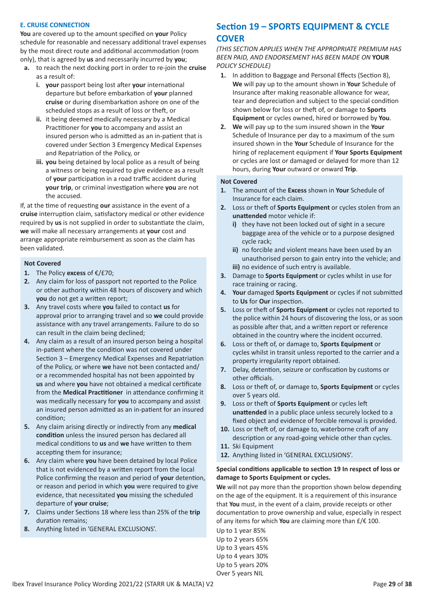#### **E. CRUISE CONNECTION**

**You** are covered up to the amount specified on **your** Policy schedule for reasonable and necessary additional travel expenses by the most direct route and additional accommodation (room only), that is agreed by **us** and necessarily incurred by **you**;

- **a.** to reach the next docking port in order to re-join the **cruise** as a result of:
	- **i. your** passport being lost after **your** international departure but before embarkation of **your** planned **cruise** or during disembarkation ashore on one of the scheduled stops as a result of loss or theft, or
	- **ii.** it being deemed medically necessary by a Medical Practitioner for **you** to accompany and assist an insured person who is admitted as an in-patient that is covered under Section 3 Emergency Medical Expenses and Repatriation of the Policy, or
	- **iii. you** being detained by local police as a result of being a witness or being required to give evidence as a result of **your** participation in a road traffic accident during **your trip**, or criminal investigation where **you** are not the accused.

If, at the time of requesting **our** assistance in the event of a **cruise** interruption claim, satisfactory medical or other evidence required by **us** is not supplied in order to substantiate the claim, **we** will make all necessary arrangements at **your** cost and arrange appropriate reimbursement as soon as the claim has been validated.

#### **Not Covered**

- **1.** The Policy **excess** of €/£70;
- **2.** Any claim for loss of passport not reported to the Police or other authority within 48 hours of discovery and which **you** do not get a written report;
- **3.** Any travel costs where **you** failed to contact **us** for approval prior to arranging travel and so **we** could provide assistance with any travel arrangements. Failure to do so can result in the claim being declined;
- **4.** Any claim as a result of an insured person being a hospital in-patient where the condition was not covered under Section 3 – Emergency Medical Expenses and Repatriation of the Policy, or where **we** have not been contacted and/ or a recommended hospital has not been appointed by **us** and where **you** have not obtained a medical certificate from the **Medical Practitioner** in attendance confirming it was medically necessary for **you** to accompany and assist an insured person admitted as an in-patient for an insured condition;
- **5.** Any claim arising directly or indirectly from any **medical condition** unless the insured person has declared all medical conditions to **us** and **we** have written to them accepting them for insurance;
- **6.** Any claim where **you** have been detained by local Police that is not evidenced by a written report from the local Police confirming the reason and period of **your** detention, or reason and period in which **you** were required to give evidence, that necessitated **you** missing the scheduled departure of **your cruise**;
- **7.** Claims under Sections 18 where less than 25% of the **trip** duration remains;
- **8.** Anything listed in 'GENERAL EXCLUSIONS'.

### **Section 19 – SPORTS EQUIPMENT & CYCLE COVER**

*(THIS SECTION APPLIES WHEN THE APPROPRIATE PREMIUM HAS BEEN PAID, AND ENDORSEMENT HAS BEEN MADE ON* **YOUR** *POLICY SCHEDULE)*

- **1.** In addition to Baggage and Personal Effects (Section 8), **We** will pay up to the amount shown in **Your** Schedule of Insurance after making reasonable allowance for wear, tear and depreciation and subject to the special condition shown below for loss or theft of, or damage to **Sports Equipment** or cycles owned, hired or borrowed by **You**.
- **2. We** will pay up to the sum insured shown in the **Your** Schedule of Insurance per day to a maximum of the sum insured shown in the **Your** Schedule of Insurance for the hiring of replacement equipment if **Your Sports Equipment** or cycles are lost or damaged or delayed for more than 12 hours, during **Your** outward or onward **Trip**.

#### **Not Covered**

- **1.** The amount of the **Excess** shown in **Your** Schedule of Insurance for each claim.
- **2.** Loss or theft of **Sports Equipment** or cycles stolen from an **unattended** motor vehicle if:
	- **i)** they have not been locked out of sight in a secure baggage area of the vehicle or to a purpose designed cycle rack;
	- **ii)** no forcible and violent means have been used by an unauthorised person to gain entry into the vehicle; and **iii)** no evidence of such entry is available.
- **3.** Damage to **Sports Equipment** or cycles whilst in use for race training or racing.
- **4. Your** damaged **Sports Equipment** or cycles if not submitted to **Us** for **Our** inspection.
- **5.** Loss or theft of **Sports Equipment** or cycles not reported to the police within 24 hours of discovering the loss, or as soon as possible after that, and a written report or reference obtained in the country where the incident occurred.
- **6.** Loss or theft of, or damage to, **Sports Equipment** or cycles whilst in transit unless reported to the carrier and a property irregularity report obtained.
- **7.** Delay, detention, seizure or confiscation by customs or other officials.
- **8.** Loss or theft of, or damage to, **Sports Equipment** or cycles over 5 years old.
- **9.** Loss or theft of **Sports Equipment** or cycles left **unattended** in a public place unless securely locked to a fixed object and evidence of forcible removal is provided.
- **10.** Loss or theft of, or damage to, waterborne craft of any description or any road-going vehicle other than cycles.
- **11.** Ski Equipment
- **12.** Anything listed in 'GENERAL EXCLUSIONS'.

#### **Special conditions applicable to section 19 In respect of loss or damage to Sports Equipment or cycles.**

**We** will not pay more than the proportion shown below depending on the age of the equipment. It is a requirement of this insurance that **You** must, in the event of a claim, provide receipts or other documentation to prove ownership and value, especially in respect of any items for which **You** are claiming more than £/€ 100.

Up to 1 year 85% Up to 2 years 65% Up to 3 years 45% Up to 4 years 30% Up to 5 years 20% Over 5 years NIL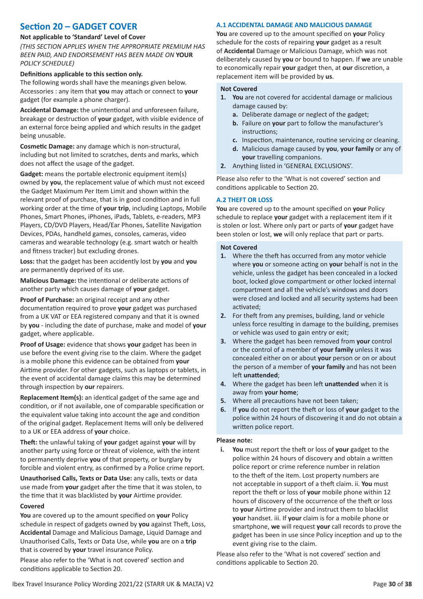### **Section 20 – GADGET COVER**

#### **Not applicable to 'Standard' Level of Cover**

*(THIS SECTION APPLIES WHEN THE APPROPRIATE PREMIUM HAS BEEN PAID, AND ENDORSEMENT HAS BEEN MADE ON* **YOUR** *POLICY SCHEDULE)*

#### **Definitions applicable to this section only.**

The following words shall have the meanings given below. Accessories : any item that **you** may attach or connect to **your** gadget (for example a phone charger).

**Accidental Damage:** the unintentional and unforeseen failure, breakage or destruction of **your** gadget, with visible evidence of an external force being applied and which results in the gadget being unusable.

**Cosmetic Damage:** any damage which is non-structural, including but not limited to scratches, dents and marks, which does not affect the usage of the gadget.

**Gadget:** means the portable electronic equipment item(s) owned by **you**, the replacement value of which must not exceed the Gadget Maximum Per Item Limit and shown within the relevant proof of purchase, that is in good condition and in full working order at the time of **your trip**, including Laptops, Mobile Phones, Smart Phones, iPhones, iPads, Tablets, e-readers, MP3 Players, CD/DVD Players, Head/Ear Phones, Satellite Navigation Devices, PDAs, handheld games, consoles, cameras, video cameras and wearable technology (e.g. smart watch or health and fitness tracker) but excluding drones.

**Loss:** that the gadget has been accidently lost by **you** and **you** are permanently deprived of its use.

**Malicious Damage:** the intentional or deliberate actions of another party which causes damage of **your** gadget.

**Proof of Purchase:** an original receipt and any other documentation required to prove **your** gadget was purchased from a UK VAT or EEA registered company and that it is owned by **you** - including the date of purchase, make and model of **your** gadget, where applicable.

**Proof of Usage:** evidence that shows **your** gadget has been in use before the event giving rise to the claim. Where the gadget is a mobile phone this evidence can be obtained from **your** Airtime provider. For other gadgets, such as laptops or tablets, in the event of accidental damage claims this may be determined through inspection by **our** repairers.

**Replacement Item(s):** an identical gadget of the same age and condition, or if not available, one of comparable specification or the equivalent value taking into account the age and condition of the original gadget. Replacement Items will only be delivered to a UK or EEA address of **your** choice.

**Theft:** the unlawful taking of **your** gadget against **your** will by another party using force or threat of violence, with the intent to permanently deprive **you** of that property, or burglary by forcible and violent entry, as confirmed by a Police crime report.

**Unauthorised Calls, Texts or Data Use:** any calls, texts or data use made from **your** gadget after the time that it was stolen, to the time that it was blacklisted by **your** Airtime provider.

#### **Covered**

**You** are covered up to the amount specified on **your** Policy schedule in respect of gadgets owned by **you** against Theft, Loss, **Accidental** Damage and Malicious Damage, Liquid Damage and Unauthorised Calls, Texts or Data Use, while **you** are on a **trip** that is covered by **your** travel insurance Policy.

Please also refer to the 'What is not covered' section and conditions applicable to Section 20.

#### **A.1 ACCIDENTAL DAMAGE AND MALICIOUS DAMAGE**

**You** are covered up to the amount specified on **your** Policy schedule for the costs of repairing **your** gadget as a result of **Accidental** Damage or Malicious Damage, which was not deliberately caused by **you** or bound to happen. If **we** are unable to economically repair **your** gadget then, at **our** discretion, a replacement item will be provided by **us**.

#### **Not Covered**

- **1. You** are not covered for accidental damage or malicious damage caused by:
	- **a.** Deliberate damage or neglect of the gadget;
	- **b.** Failure on **your** part to follow the manufacturer's instructions;
	- **c.** Inspection, maintenance, routine servicing or cleaning.
	- **d.** Malicious damage caused by **you**, **your family** or any of **your** travelling companions.
- **2.** Anything listed in 'GENERAL EXCLUSIONS'.

Please also refer to the 'What is not covered' section and conditions applicable to Section 20.

#### **A.2 THEFT OR LOSS**

**You** are covered up to the amount specified on **your** Policy schedule to replace **your** gadget with a replacement item if it is stolen or lost. Where only part or parts of **your** gadget have been stolen or lost, **we** will only replace that part or parts.

#### **Not Covered**

- **1.** Where the theft has occurred from any motor vehicle where **you** or someone acting on **your** behalf is not in the vehicle, unless the gadget has been concealed in a locked boot, locked glove compartment or other locked internal compartment and all the vehicle's windows and doors were closed and locked and all security systems had been activated;
- **2.** For theft from any premises, building, land or vehicle unless force resulting in damage to the building, premises or vehicle was used to gain entry or exit;
- **3.** Where the gadget has been removed from **your** control or the control of a member of **your family** unless it was concealed either on or about **your** person or on or about the person of a member of **your family** and has not been left **unattended**;
- **4.** Where the gadget has been left **unattended** when it is away from **your home**;
- **5.** Where all precautions have not been taken;
- **6.** If **you** do not report the theft or loss of **your** gadget to the police within 24 hours of discovering it and do not obtain a written police report.

#### **Please note:**

**i. You** must report the theft or loss of **your** gadget to the police within 24 hours of discovery and obtain a written police report or crime reference number in relation to the theft of the item. Lost property numbers are not acceptable in support of a theft claim. ii. **You** must report the theft or loss of **your** mobile phone within 12 hours of discovery of the occurrence of the theft or loss to **your** Airtime provider and instruct them to blacklist **your** handset. iii. If **your** claim is for a mobile phone or smartphone, **we** will request **your** call records to prove the gadget has been in use since Policy inception and up to the event giving rise to the claim.

Please also refer to the 'What is not covered' section and conditions applicable to Section 20.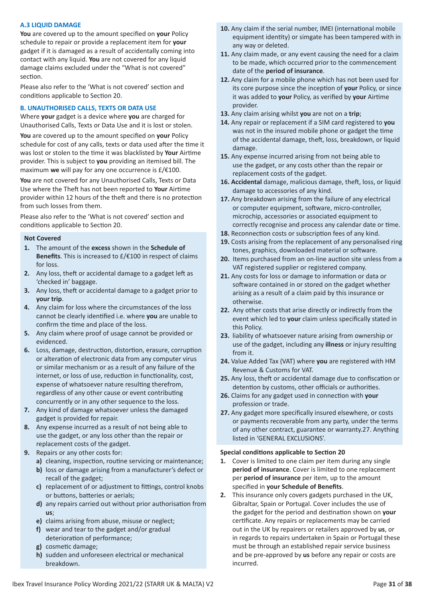#### **A.3 LIQUID DAMAGE**

**You** are covered up to the amount specified on **your** Policy schedule to repair or provide a replacement item for **your** gadget if it is damaged as a result of accidentally coming into contact with any liquid. **You** are not covered for any liquid damage claims excluded under the "What is not covered" section.

Please also refer to the 'What is not covered' section and conditions applicable to Section 20.

#### **B. UNAUTHORISED CALLS, TEXTS OR DATA USE**

Where **your** gadget is a device where **you** are charged for Unauthorised Calls, Texts or Data Use and it is lost or stolen.

**You** are covered up to the amount specified on **your** Policy schedule for cost of any calls, texts or data used after the time it was lost or stolen to the time it was blacklisted by **Your** Airtime provider. This is subject to **you** providing an itemised bill. The maximum **we** will pay for any one occurrence is £/€100.

**You** are not covered for any Unauthorised Calls, Texts or Data Use where the Theft has not been reported to **Your** Airtime provider within 12 hours of the theft and there is no protection from such losses from them.

Please also refer to the 'What is not covered' section and conditions applicable to Section 20.

#### **Not Covered**

- **1.** The amount of the **excess** shown in the **Schedule of Benefits**. This is increased to £/€100 in respect of claims for loss.
- **2.** Any loss, theft or accidental damage to a gadget left as 'checked in' baggage.
- **3.** Any loss, theft or accidental damage to a gadget prior to **your trip**.
- **4.** Any claim for loss where the circumstances of the loss cannot be clearly identified i.e. where **you** are unable to confirm the time and place of the loss.
- **5.** Any claim where proof of usage cannot be provided or evidenced.
- **6.** Loss, damage, destruction, distortion, erasure, corruption or alteration of electronic data from any computer virus or similar mechanism or as a result of any failure of the internet, or loss of use, reduction in functionality, cost, expense of whatsoever nature resulting therefrom, regardless of any other cause or event contributing concurrently or in any other sequence to the loss.
- **7.** Any kind of damage whatsoever unless the damaged gadget is provided for repair.
- **8.** Any expense incurred as a result of not being able to use the gadget, or any loss other than the repair or replacement costs of the gadget.
- **9.** Repairs or any other costs for:
	- **a)** cleaning, inspection, routine servicing or maintenance;
	- **b)** loss or damage arising from a manufacturer's defect or recall of the gadget;
	- **c)** replacement of or adjustment to fittings, control knobs or buttons, batteries or aerials;
	- **d)** any repairs carried out without prior authorisation from **us**;
	- **e)** claims arising from abuse, misuse or neglect;
	- **f)** wear and tear to the gadget and/or gradual deterioration of performance;
	- **g)** cosmetic damage;
	- **h)** sudden and unforeseen electrical or mechanical breakdown.
- **10.** Any claim if the serial number, IMEI (international mobile equipment identity) or simgate has been tampered with in any way or deleted.
- **11.** Any claim made, or any event causing the need for a claim to be made, which occurred prior to the commencement date of the **period of insurance**.
- **12.** Any claim for a mobile phone which has not been used for its core purpose since the inception of **your** Policy, or since it was added to **your** Policy, as verified by **your** Airtime provider.
- **13.** Any claim arising whilst **you** are not on a **trip**;
- **14.** Any repair or replacement if a SIM card registered to **you** was not in the insured mobile phone or gadget the time of the accidental damage, theft, loss, breakdown, or liquid damage.
- **15.** Any expense incurred arising from not being able to use the gadget, or any costs other than the repair or replacement costs of the gadget.
- **16. Accidental** damage, malicious damage, theft, loss, or liquid damage to accessories of any kind.
- **17.** Any breakdown arising from the failure of any electrical or computer equipment, software, micro-controller, microchip, accessories or associated equipment to correctly recognise and process any calendar date or time.
- **18.** Reconnection costs or subscription fees of any kind.
- **19.** Costs arising from the replacement of any personalised ring tones, graphics, downloaded material or software.
- **20.** Items purchased from an on-line auction site unless from a VAT registered supplier or registered company.
- **21.** Any costs for loss or damage to information or data or software contained in or stored on the gadget whether arising as a result of a claim paid by this insurance or otherwise.
- **22.** Any other costs that arise directly or indirectly from the event which led to **your** claim unless specifically stated in this Policy.
- **23.** liability of whatsoever nature arising from ownership or use of the gadget, including any **illness** or injury resulting from it.
- **24.** Value Added Tax (VAT) where **you** are registered with HM Revenue & Customs for VAT.
- **25.** Any loss, theft or accidental damage due to confiscation or detention by customs, other officials or authorities.
- **26.** Claims for any gadget used in connection with **your** profession or trade.
- **27.** Any gadget more specifically insured elsewhere, or costs or payments recoverable from any party, under the terms of any other contract, guarantee or warranty.27. Anything listed in 'GENERAL EXCLUSIONS'.

#### **Special conditions applicable to Section 20**

- **1.** Cover is limited to one claim per item during any single **period of insurance**. Cover is limited to one replacement per **period of insurance** per item, up to the amount specified in **your Schedule of Benefits**.
- **2.** This insurance only covers gadgets purchased in the UK, Gibraltar, Spain or Portugal. Cover includes the use of the gadget for the period and destination shown on **your** certificate. Any repairs or replacements may be carried out in the UK by repairers or retailers approved by **us**, or in regards to repairs undertaken in Spain or Portugal these must be through an established repair service business and be pre-approved by **us** before any repair or costs are incurred.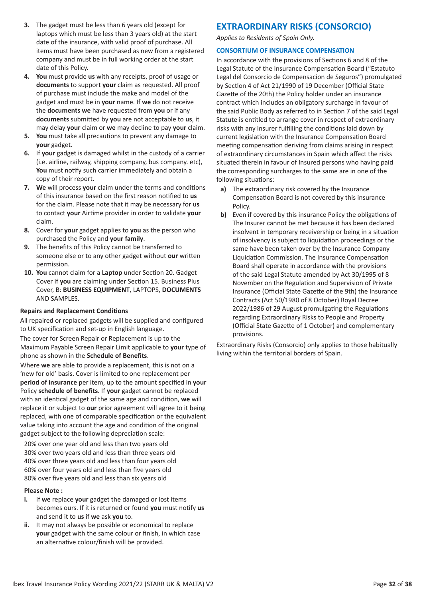- **3.** The gadget must be less than 6 years old (except for laptops which must be less than 3 years old) at the start date of the insurance, with valid proof of purchase. All items must have been purchased as new from a registered company and must be in full working order at the start date of this Policy.
- **4. You** must provide **us** with any receipts, proof of usage or **documents** to support **your** claim as requested. All proof of purchase must include the make and model of the gadget and must be in **your** name. If **we** do not receive the **documents we** have requested from **you** or if any **documents** submitted by **you** are not acceptable to **us**, it may delay **your** claim or **we** may decline to pay **your** claim.
- **5. You** must take all precautions to prevent any damage to **your** gadget.
- **6.** If **your** gadget is damaged whilst in the custody of a carrier (i.e. airline, railway, shipping company, bus company. etc), **You** must notify such carrier immediately and obtain a copy of their report.
- **7. We** will process **your** claim under the terms and conditions of this insurance based on the first reason notified to **us** for the claim. Please note that it may be necessary for **us** to contact **your** Airtime provider in order to validate **your** claim.
- **8.** Cover for **your** gadget applies to **you** as the person who purchased the Policy and **your family**.
- **9.** The benefits of this Policy cannot be transferred to someone else or to any other gadget without **our** written permission.
- **10. You** cannot claim for a **Laptop** under Section 20. Gadget Cover if **you** are claiming under Section 15. Business Plus Cover, B: **BUSINESS EQUIPMENT**, LAPTOPS, **DOCUMENTS** AND SAMPLES.

#### **Repairs and Replacement Conditions**

All repaired or replaced gadgets will be supplied and configured to UK specification and set-up in English language.

The cover for Screen Repair or Replacement is up to the Maximum Payable Screen Repair Limit applicable to **your** type of phone as shown in the **Schedule of Benefits**.

Where **we** are able to provide a replacement, this is not on a 'new for old' basis. Cover is limited to one replacement per **period of insurance** per item, up to the amount specified in **your** Policy **schedule of benefits**. If **your** gadget cannot be replaced with an identical gadget of the same age and condition, **we** will replace it or subject to **our** prior agreement will agree to it being replaced, with one of comparable specification or the equivalent value taking into account the age and condition of the original gadget subject to the following depreciation scale:

20% over one year old and less than two years old 30% over two years old and less than three years old 40% over three years old and less than four years old 60% over four years old and less than five years old 80% over five years old and less than six years old

#### **Please Note :**

- **i.** If **we** replace **your** gadget the damaged or lost items becomes ours. If it is returned or found **you** must notify **us** and send it to **us** if **we** ask **you** to.
- **ii.** It may not always be possible or economical to replace **your** gadget with the same colour or finish, in which case an alternative colour/finish will be provided.

### **EXTRAORDINARY RISKS (CONSORCIO)**

*Applies to Residents of Spain Only.*

#### **CONSORTIUM OF INSURANCE COMPENSATION**

In accordance with the provisions of Sections 6 and 8 of the Legal Statute of the Insurance Compensation Board ("Estatuto Legal del Consorcio de Compensacion de Seguros") promulgated by Section 4 of Act 21/1990 of 19 December (Official State Gazette of the 20th) the Policy holder under an insurance contract which includes an obligatory surcharge in favour of the said Public Body as referred to in Section 7 of the said Legal Statute is entitled to arrange cover in respect of extraordinary risks with any insurer fulfilling the conditions laid down by current legislation with the Insurance Compensation Board meeting compensation deriving from claims arising in respect of extraordinary circumstances in Spain which affect the risks situated therein in favour of Insured persons who having paid the corresponding surcharges to the same are in one of the following situations:

- **a)** The extraordinary risk covered by the Insurance Compensation Board is not covered by this insurance Policy.
- **b)** Even if covered by this insurance Policy the obligations of The Insurer cannot be met because it has been declared insolvent in temporary receivership or being in a situation of insolvency is subject to liquidation proceedings or the same have been taken over by the Insurance Company Liquidation Commission. The Insurance Compensation Board shall operate in accordance with the provisions of the said Legal Statute amended by Act 30/1995 of 8 November on the Regulation and Supervision of Private Insurance (Official State Gazette of the 9th) the Insurance Contracts (Act 50/1980 of 8 October) Royal Decree 2022/1986 of 29 August promulgating the Regulations regarding Extraordinary Risks to People and Property (Official State Gazette of 1 October) and complementary provisions.

Extraordinary Risks (Consorcio) only applies to those habitually living within the territorial borders of Spain.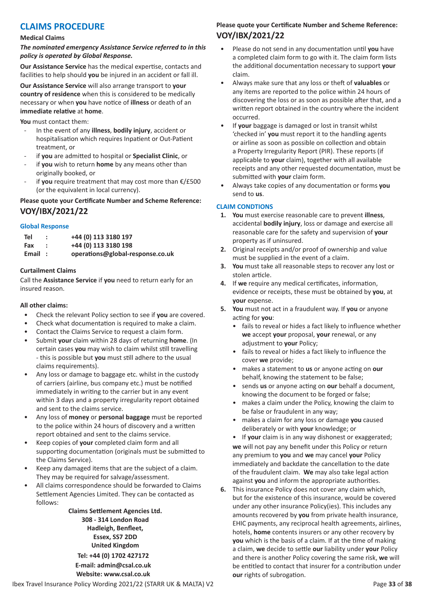### **CLAIMS PROCEDURE**

#### **Medical Claims**

*The nominated emergency Assistance Service referred to in this policy is operated by Global Response.*

**Our Assistance Service** has the medical expertise, contacts and facilities to help should **you** be injured in an accident or fall ill.

**Our Assistance Service** will also arrange transport to **your country of residence** when this is considered to be medically necessary or when **you** have notice of **illness** or death of an **immediate relative** at **home**.

**You** must contact them:

- In the event of any **illness**, **bodily injury**, accident or hospitalisation which requires Inpatient or Out-Patient treatment, or
- if **you** are admitted to hospital or **Specialist Clinic**, or
- if you wish to return home by any means other than originally booked, or
- if you require treatment that may cost more than €/£500 (or the equivalent in local currency).

### **Please quote your Certificate Number and Scheme Reference: VOY/IBX/2021/22**

#### **Global Response**

| Tel    | +44 (0) 113 3180 197             |
|--------|----------------------------------|
| Fax    | +44 (0) 113 3180 198             |
| Email: | operations@global-response.co.uk |

#### **Curtailment Claims**

Call the **Assistance Service** if **you** need to return early for an insured reason.

#### **All other claims:**

- Check the relevant Policy section to see if **you** are covered.
- Check what documentation is required to make a claim.
- Contact the Claims Service to request a claim form.
- Submit **your** claim within 28 days of returning **home**. (In certain cases **you** may wish to claim whilst still travelling - this is possible but **you** must still adhere to the usual claims requirements).
- Any loss or damage to baggage etc. whilst in the custody of carriers (airline, bus company etc.) must be notified immediately in writing to the carrier but in any event within 3 days and a property irregularity report obtained and sent to the claims service.
- Any loss of **money** or **personal baggage** must be reported to the police within 24 hours of discovery and a written report obtained and sent to the claims service.
- Keep copies of **your** completed claim form and all supporting documentation (originals must be submitted to the Claims Service).
- Keep any damaged items that are the subject of a claim. They may be required for salvage/assessment.
- All claims correspondence should be forwarded to Claims Settlement Agencies Limited. They can be contacted as follows:

**Claims Settlement Agencies Ltd. 308 - 314 London Road Hadleigh, Benfleet, Essex, SS7 2DD United Kingdom**

**Tel: +44 (0) 1702 427172 E-mail: admin@csal.co.uk Website: www.csal.co.uk**

#### **Please quote your Certificate Number and Scheme Reference: VOY/IBX/2021/22**

- Please do not send in any documentation until **you** have a completed claim form to go with it. The claim form lists the additional documentation necessary to support **your** claim.
- Always make sure that any loss or theft of **valuables** or any items are reported to the police within 24 hours of discovering the loss or as soon as possible after that, and a written report obtained in the country where the incident occurred.
- If **your** baggage is damaged or lost in transit whilst 'checked in' **you** must report it to the handling agents or airline as soon as possible on collection and obtain a Property Irregularity Report (PIR). These reports (if applicable to **your** claim), together with all available receipts and any other requested documentation, must be submitted with **your** claim form.
- Always take copies of any documentation or forms **you** send to **us**.

#### **CLAIM CONDTIONS**

- **1. You** must exercise reasonable care to prevent **illness**, accidental **bodily injury**, loss or damage and exercise all reasonable care for the safety and supervision of **your** property as if uninsured.
- **2.** Original receipts and/or proof of ownership and value must be supplied in the event of a claim.
- **3. You** must take all reasonable steps to recover any lost or stolen article.
- **4.** If **we** require any medical certificates, information, evidence or receipts, these must be obtained by **you**, at **your** expense.
- **5. You** must not act in a fraudulent way. If **you** or anyone acting for **you**:
	- fails to reveal or hides a fact likely to influence whether **we** accept **your** proposal, **your** renewal, or any adjustment to **your** Policy;
	- fails to reveal or hides a fact likely to influence the cover **we** provide;
	- makes a statement to **us** or anyone acting on **our** behalf, knowing the statement to be false;
	- sends **us** or anyone acting on **our** behalf a document, knowing the document to be forged or false;
	- makes a claim under the Policy, knowing the claim to be false or fraudulent in any way;
	- makes a claim for any loss or damage **you** caused deliberately or with **your** knowledge; or
	- If **your** claim is in any way dishonest or exaggerated; **we** will not pay any benefit under this Policy or return any premium to **you** and **we** may cancel **your** Policy immediately and backdate the cancellation to the date of the fraudulent claim. **We** may also take legal action against **you** and inform the appropriate authorities.
- **6.** This insurance Policy does not cover any claim which, but for the existence of this insurance, would be covered under any other insurance Policy(ies). This includes any amounts recovered by **you** from private health insurance, EHIC payments, any reciprocal health agreements, airlines, hotels, **home** contents insurers or any other recovery by **you** which is the basis of a claim. If at the time of making a claim, **we** decide to settle **our** liability under **your** Policy and there is another Policy covering the same risk, **we** will be entitled to contact that insurer for a contribution under **our** rights of subrogation.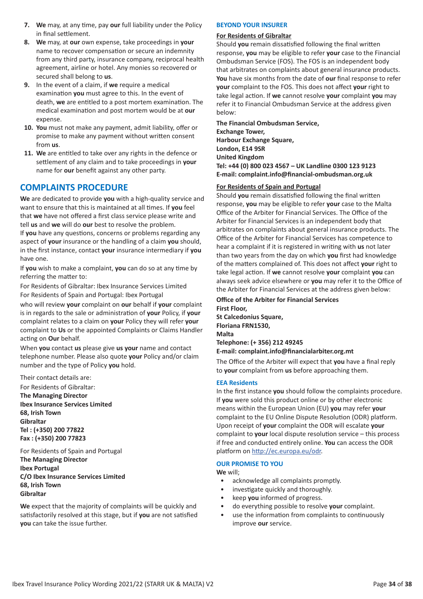- **7. We** may, at any time, pay **our** full liability under the Policy in final settlement.
- **8. We** may, at **our** own expense, take proceedings in **your** name to recover compensation or secure an indemnity from any third party, insurance company, reciprocal health agreement, airline or hotel. Any monies so recovered or secured shall belong to **us**.
- **9.** In the event of a claim, if **we** require a medical examination **you** must agree to this. In the event of death, **we** are entitled to a post mortem examination. The medical examination and post mortem would be at **our** expense.
- **10. You** must not make any payment, admit liability, offer or promise to make any payment without written consent from **us**.
- **11. We** are entitled to take over any rights in the defence or settlement of any claim and to take proceedings in **your** name for **our** benefit against any other party.

### **COMPLAINTS PROCEDURE**

**We** are dedicated to provide **you** with a high-quality service and want to ensure that this is maintained at all times. If **you** feel that **we** have not offered a first class service please write and tell **us** and **we** will do **our** best to resolve the problem. If **you** have any questions, concerns or problems regarding any aspect of **your** insurance or the handling of a claim **you** should, in the first instance, contact **your** insurance intermediary if **you** have one.

If **you** wish to make a complaint, **you** can do so at any time by referring the matter to:

For Residents of Gibraltar: Ibex Insurance Services Limited For Residents of Spain and Portugal: Ibex Portugal

who will review **your** complaint on **our** behalf if **your** complaint is in regards to the sale or administration of **your** Policy, if **your** complaint relates to a claim on **your** Policy they will refer **your** complaint to **Us** or the appointed Complaints or Claims Handler acting on **Our** behalf.

When **you** contact **us** please give **us your** name and contact telephone number. Please also quote **your** Policy and/or claim number and the type of Policy **you** hold.

Their contact details are:

For Residents of Gibraltar: **The Managing Director Ibex Insurance Services Limited 68, Irish Town Gibraltar Tel : (+350) 200 77822 Fax : (+350) 200 77823**

For Residents of Spain and Portugal **The Managing Director Ibex Portugal C/O Ibex Insurance Services Limited 68, Irish Town Gibraltar**

**We** expect that the majority of complaints will be quickly and satisfactorily resolved at this stage, but if **you** are not satisfied **you** can take the issue further.

#### **BEYOND YOUR INSURER**

#### **For Residents of Gibraltar**

Should **you** remain dissatisfied following the final written response, **you** may be eligible to refer **your** case to the Financial Ombudsman Service (FOS). The FOS is an independent body that arbitrates on complaints about general insurance products. **You** have six months from the date of **our** final response to refer **your** complaint to the FOS. This does not affect **your** right to take legal action. If **we** cannot resolve **your** complaint **you** may refer it to Financial Ombudsman Service at the address given below:

**The Financial Ombudsman Service, Exchange Tower, Harbour Exchange Square, London, E14 9SR United Kingdom Tel: +44 (0) 800 023 4567 – UK Landline 0300 123 9123 E-mail: complaint.info@financial-ombudsman.org.uk**

#### **For Residents of Spain and Portugal**

Should **you** remain dissatisfied following the final written response, **you** may be eligible to refer **your** case to the Malta Office of the Arbiter for Financial Services. The Office of the Arbiter for Financial Services is an independent body that arbitrates on complaints about general insurance products. The Office of the Arbiter for Financial Services has competence to hear a complaint if it is registered in writing with **us** not later than two years from the day on which **you** first had knowledge of the matters complained of. This does not affect **your** right to take legal action. If **we** cannot resolve **your** complaint **you** can always seek advice elsewhere or **you** may refer it to the Office of the Arbiter for Financial Services at the address given below:

**Office of the Arbiter for Financial Services First Floor, St Calcedonius Square, Floriana FRN1530, Malta Telephone: (+ 356) 212 49245 E-mail: complaint.info@financialarbiter.org.mt**

The Office of the Arbiter will expect that **you** have a final reply to **your** complaint from **us** before approaching them.

#### **EEA Residents**

In the first instance **you** should follow the complaints procedure. If **you** were sold this product online or by other electronic means within the European Union (EU) **you** may refer **your** complaint to the EU Online Dispute Resolution (ODR) platform. Upon receipt of **your** complaint the ODR will escalate **your** complaint to **your** local dispute resolution service – this process if free and conducted entirely online. **You** can access the ODR platform on http://ec.europa.eu/odr.

#### **OUR PROMISE TO YOU**

**We** will;

- acknowledge all complaints promptly.
- investigate quickly and thoroughly.
- keep **you** informed of progress.
- do everything possible to resolve **your** complaint.
- use the information from complaints to continuously improve **our** service.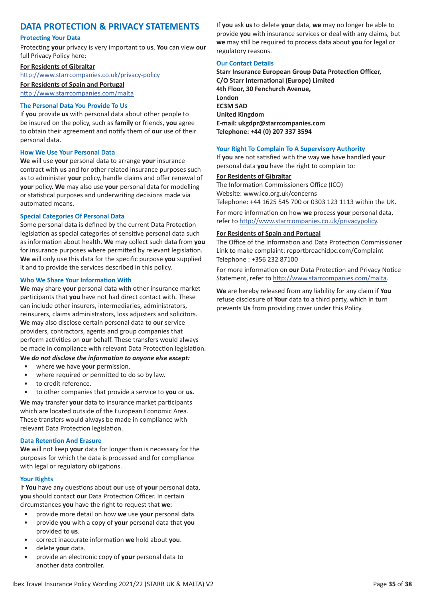### **DATA PROTECTION & PRIVACY STATEMENTS**

#### **Protecting Your Data**

Protecting **your** privacy is very important to **us**. **You** can view **our** full Privacy Policy here:

#### **For Residents of Gibraltar**

http://www.starrcompanies.co.uk/privacy-policy

**For Residents of Spain and Portugal** http://www.starrcompanies.com/malta

#### **The Personal Data You Provide To Us**

If **you** provide **us** with personal data about other people to be insured on the policy, such as **family** or friends, **you** agree to obtain their agreement and notify them of **our** use of their personal data.

#### **How We Use Your Personal Data**

**We** will use **your** personal data to arrange **your** insurance contract with **us** and for other related insurance purposes such as to administer **your** policy, handle claims and offer renewal of **your** policy. **We** may also use **your** personal data for modelling or statistical purposes and underwriting decisions made via automated means.

#### **Special Categories Of Personal Data**

Some personal data is defined by the current Data Protection legislation as special categories of sensitive personal data such as information about health. **We** may collect such data from **you** for insurance purposes where permitted by relevant legislation. **We** will only use this data for the specific purpose **you** supplied it and to provide the services described in this policy.

#### **Who We Share Your Information With**

**We** may share **your** personal data with other insurance market participants that **you** have not had direct contact with. These can include other insurers, intermediaries, administrators, reinsurers, claims administrators, loss adjusters and solicitors. **We** may also disclose certain personal data to **our** service providers, contractors, agents and group companies that perform activities on **our** behalf. These transfers would always be made in compliance with relevant Data Protection legislation.

#### **We** *do not disclose the information to anyone else except:*

- where **we** have **your** permission.
- where required or permitted to do so by law.
- to credit reference.
- to other companies that provide a service to **you** or **us**.

**We** may transfer **your** data to insurance market participants which are located outside of the European Economic Area. These transfers would always be made in compliance with relevant Data Protection legislation.

#### **Data Retention And Erasure**

**We** will not keep **your** data for longer than is necessary for the purposes for which the data is processed and for compliance with legal or regulatory obligations.

#### **Your Rights**

If **You** have any questions about **our** use of **your** personal data, **you** should contact **our** Data Protection Officer. In certain circumstances **you** have the right to request that **we**:

- provide more detail on how **we** use **your** personal data.
- provide **you** with a copy of **your** personal data that **you** provided to **us**.
- correct inaccurate information **we** hold about **you**.
- delete **your** data.
- provide an electronic copy of **your** personal data to another data controller.

If **you** ask **us** to delete **your** data, **we** may no longer be able to provide **you** with insurance services or deal with any claims, but **we** may still be required to process data about **you** for legal or regulatory reasons.

#### **Our Contact Details**

**Starr Insurance European Group Data Protection Officer, C/O Starr International (Europe) Limited 4th Floor, 30 Fenchurch Avenue, London EC3M 5AD United Kingdom E-mail: ukgdpr@starrcompanies.com Telephone: +44 (0) 207 337 3594**

#### **Your Right To Complain To A Supervisory Authority**

If **you** are not satisfied with the way **we** have handled **your** personal data **you** have the right to complain to:

#### **For Residents of Gibraltar**

The Information Commissioners Office (ICO) Website: www.ico.org.uk/concerns Telephone: +44 1625 545 700 or 0303 123 1113 within the UK.

For more information on how **we** process **your** personal data, refer to http://www.starrcompanies.co.uk/privacypolicy.

#### **For Residents of Spain and Portugal**

The Office of the Information and Data Protection Commissioner Link to make complaint: reportbreachidpc.com/Complaint Telephone : +356 232 87100

For more information on **our** Data Protection and Privacy Notice Statement, refer to http://www.starrcompanies.com/malta.

**We** are hereby released from any liability for any claim if **You** refuse disclosure of **Your** data to a third party, which in turn prevents **Us** from providing cover under this Policy.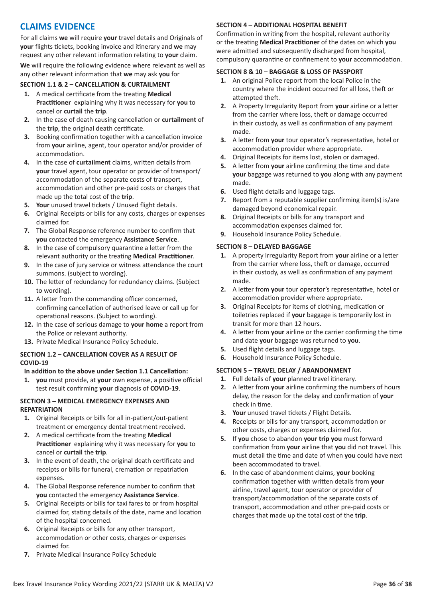### **CLAIMS EVIDENCE**

For all claims **we** will require **your** travel details and Originals of **your** flights tickets, booking invoice and itinerary and **we** may request any other relevant information relating to **your** claim.

**We** will require the following evidence where relevant as well as any other relevant information that **we** may ask **you** for

#### **SECTION 1.1 & 2 – CANCELLATION & CURTAILMENT**

- **1.** A medical certificate from the treating **Medical Practitioner** explaining why it was necessary for **you** to cancel or **curtail** the **trip**.
- **2.** In the case of death causing cancellation or **curtailment** of the **trip**, the original death certificate.
- **3.** Booking confirmation together with a cancellation invoice from **your** airline, agent, tour operator and/or provider of accommodation.
- **4.** In the case of **curtailment** claims, written details from **your** travel agent, tour operator or provider of transport/ accommodation of the separate costs of transport, accommodation and other pre-paid costs or charges that made up the total cost of the **trip**.
- **5. Your** unused travel tickets / Unused flight details.
- **6.** Original Receipts or bills for any costs, charges or expenses claimed for.
- **7.** The Global Response reference number to confirm that **you** contacted the emergency **Assistance Service**.
- **8.** In the case of compulsory quarantine a letter from the relevant authority or the treating **Medical Practitioner**.
- **9.** In the case of jury service or witness attendance the court summons. (subject to wording).
- **10.** The letter of redundancy for redundancy claims. (Subject to wording).
- **11.** A letter from the commanding officer concerned, confirming cancellation of authorised leave or call up for operational reasons. (Subject to wording).
- **12.** In the case of serious damage to **your home** a report from the Police or relevant authority.
- **13.** Private Medical Insurance Policy Schedule.

#### **SECTION 1.2 – CANCELLATION COVER AS A RESULT OF COVID-19**

#### **In addition to the above under Section 1.1 Cancellation:**

**1. you** must provide, at **your** own expense, a positive official test result confirming **your** diagnosis of **COVID-19**.

#### **SECTION 3 – MEDICAL EMERGENCY EXPENSES AND REPATRIATION**

- **1.** Original Receipts or bills for all in-patient/out-patient treatment or emergency dental treatment received.
- **2.** A medical certificate from the treating **Medical Practitioner** explaining why it was necessary for **you** to cancel or **curtail** the **trip**.
- **3.** In the event of death, the original death certificate and receipts or bills for funeral, cremation or repatriation expenses.
- **4.** The Global Response reference number to confirm that **you** contacted the emergency **Assistance Service**.
- **5.** Original Receipts or bills for taxi fares to or from hospital claimed for, stating details of the date, name and location of the hospital concerned.
- **6.** Original Receipts or bills for any other transport, accommodation or other costs, charges or expenses claimed for.
- **7.** Private Medical Insurance Policy Schedule

#### **SECTION 4 – ADDITIONAL HOSPITAL BENEFIT**

Confirmation in writing from the hospital, relevant authority or the treating **Medical Practitioner** of the dates on which **you** were admitted and subsequently discharged from hospital, compulsory quarantine or confinement to **your** accommodation.

#### **SECTION 8 & 10 – BAGGAGE & LOSS OF PASSPORT**

- **1.** An original Police report from the local Police in the country where the incident occurred for all loss, theft or attempted theft.
- **2.** A Property Irregularity Report from **your** airline or a letter from the carrier where loss, theft or damage occurred in their custody, as well as confirmation of any payment made.
- **3.** A letter from **your** tour operator's representative, hotel or accommodation provider where appropriate.
- **4.** Original Receipts for items lost, stolen or damaged.
- **5.** A letter from **your** airline confirming the time and date **your** baggage was returned to **you** along with any payment made.
- **6.** Used flight details and luggage tags.
- **7.** Report from a reputable supplier confirming item(s) is/are damaged beyond economical repair.
- **8.** Original Receipts or bills for any transport and accommodation expenses claimed for.
- **9.** Household Insurance Policy Schedule.

#### **SECTION 8 – DELAYED BAGGAGE**

- **1.** A property Irregularity Report from **your** airline or a letter from the carrier where loss, theft or damage, occurred in their custody, as well as confirmation of any payment made.
- **2.** A letter from **your** tour operator's representative, hotel or accommodation provider where appropriate.
- **3.** Original Receipts for items of clothing, medication or toiletries replaced if **your** baggage is temporarily lost in transit for more than 12 hours.
- **4.** A letter from **your** airline or the carrier confirming the time and date **your** baggage was returned to **you**.
- **5.** Used flight details and luggage tags.
- **6.** Household Insurance Policy Schedule.

#### **SECTION 5 – TRAVEL DELAY / ABANDONMENT**

- **1.** Full details of **your** planned travel itinerary.
- **2.** A letter from **your** airline confirming the numbers of hours delay, the reason for the delay and confirmation of **your** check in time.
- **3. Your** unused travel tickets / Flight Details.
- **4.** Receipts or bills for any transport, accommodation or other costs, charges or expenses claimed for.
- **5.** If **you** chose to abandon **your trip you** must forward confirmation from **your** airline that **you** did not travel. This must detail the time and date of when **you** could have next been accommodated to travel.
- **6.** In the case of abandonment claims, **your** booking confirmation together with written details from **your** airline, travel agent, tour operator or provider of transport/accommodation of the separate costs of transport, accommodation and other pre-paid costs or charges that made up the total cost of the **trip**.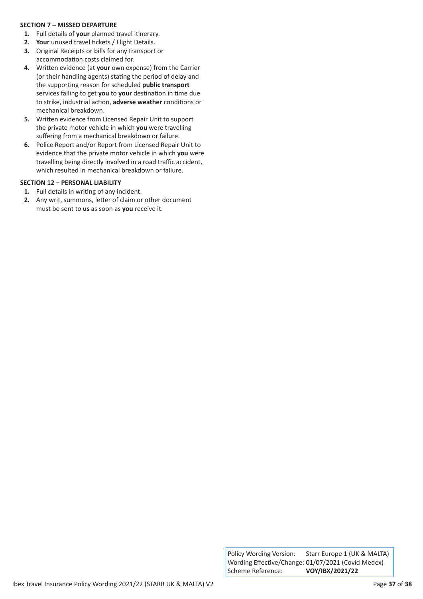#### **SECTION 7 – MISSED DEPARTURE**

- **1.** Full details of **your** planned travel itinerary.
- **2. Your** unused travel tickets / Flight Details.
- **3.** Original Receipts or bills for any transport or accommodation costs claimed for.
- **4.** Written evidence (at **your** own expense) from the Carrier (or their handling agents) stating the period of delay and the supporting reason for scheduled **public transport** services failing to get **you** to **your** destination in time due to strike, industrial action, **adverse weather** conditions or mechanical breakdown.
- **5.** Written evidence from Licensed Repair Unit to support the private motor vehicle in which **you** were travelling suffering from a mechanical breakdown or failure.
- **6.** Police Report and/or Report from Licensed Repair Unit to evidence that the private motor vehicle in which **you** were travelling being directly involved in a road traffic accident, which resulted in mechanical breakdown or failure.

#### **SECTION 12 – PERSONAL LIABILITY**

- **1.** Full details in writing of any incident.
- **2.** Any writ, summons, letter of claim or other document must be sent to **us** as soon as **you** receive it.